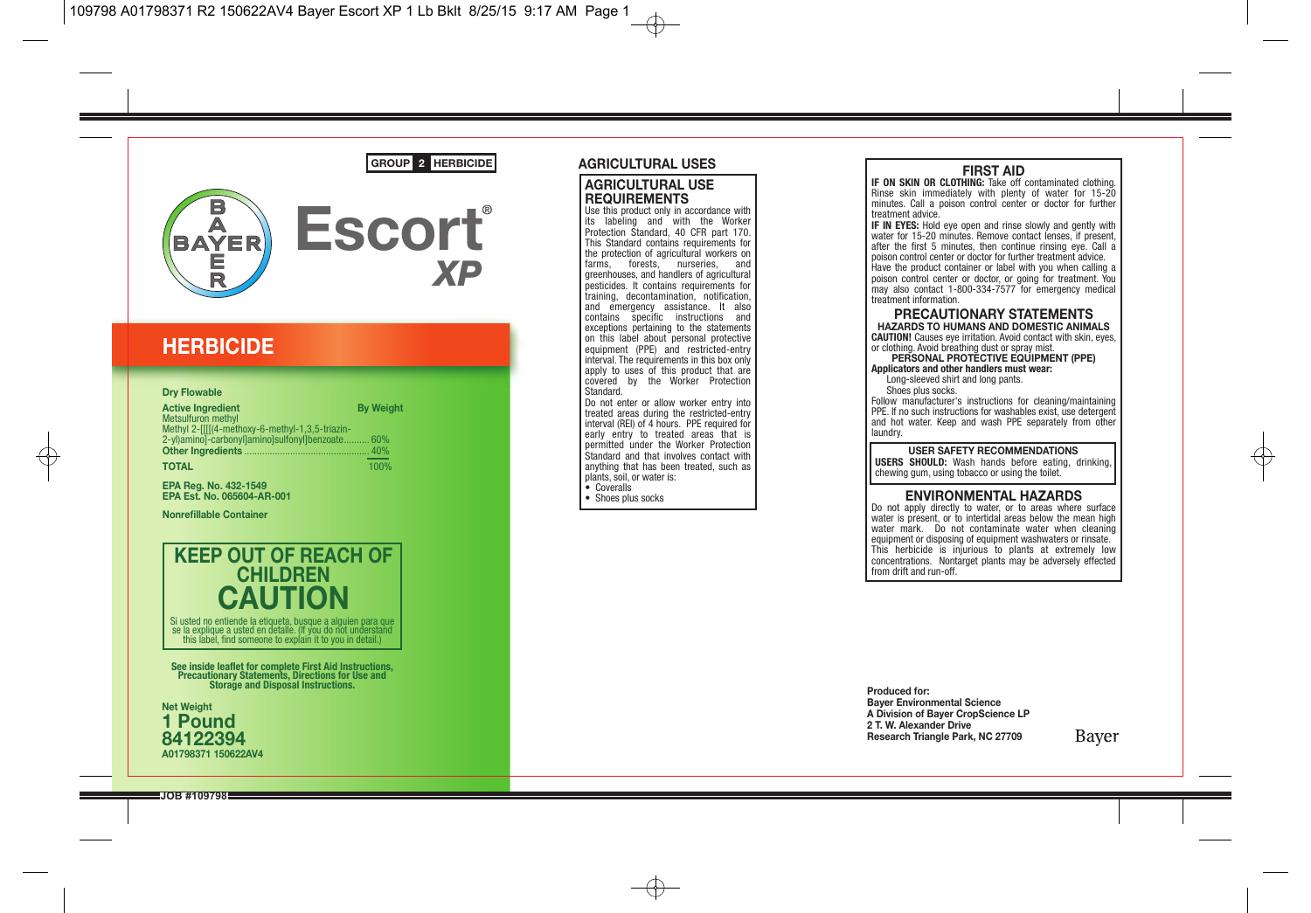



## **HERBICIDE**

#### **Dry Flowable**

| <b>Active Ingredient</b>                        | <b>By Weight</b> |
|-------------------------------------------------|------------------|
| <b>Metsulfuron methyl</b>                       |                  |
| Methyl 2-IIII(4-methoxy-6-methyl-1.3.5-triazin- |                  |
| 2-vl)aminol-carbonyllaminolsulfonyllbenzoate.   | 60%              |
|                                                 | 40%              |
| <b>TOTAL</b>                                    | 100%             |

**EPA Reg. No. 432-1549 EPA Est. No. 065604-AR-001**

**Nonrefillable Container**



this label, find someone to explain it to you in detail.)

**See inside leaflet for complete First Aid Instructions, Precautionary Statements, Directions for Use and Storage and Disposal Instructions.**



#### **AGRICULTURAL USES**

#### **AGRICULTURAL USE REQUIREMENTS**

Use this product only in accordance with its labeling and with the Worker Protection Standard, 40 CFR part 170. This Standard contains requirements for the protection of agricultural workers on<br>farms forests nurseries and farms, forests, nurseries greenhouses, and handlers of agricultural pesticides. It contains requirements for training, decontamination, notification, and emergency assistance. It also contains specific instructions and exceptions pertaining to the statements on this label about personal protective equipment (PPE) and restricted-entry interval. The requirements in this box only apply to uses of this product that are covered by the Worker Protection Standard.

Do not enter or allow worker entry into treated areas during the restricted-entry interval (REI) of 4 hours. PPE required for early entry to treated areas that is permitted under the Worker Protection Standard and that involves contact with anything that has been treated, such as plants, soil, or water is:

• Coveralls

• Shoes plus socks

**FIRST AID**<br>**IF ON SKIN OR CLOTHING:** Take off contaminated clothing. Rinse skin immediately with plenty of water for 15-20 minutes. Call a poison control center or doctor for further treatment advice.

**IF IN EYES:** Hold eye open and rinse slowly and gently with water for 15-20 minutes. Remove contact lenses, if present, after the first 5 minutes, then continue rinsing eye. Call a poison control center or doctor for further treatment advice. Have the product container or label with you when calling a poison control center or doctor, or going for treatment. You may also contact 1-800-334-7577 for emergency medical treatment information.

**PRECAUTIONARY STATEMENTS HAZARDS TO HUMANS AND DOMESTIC ANIMALS CAUTION!** Causes eye irritation. Avoid contact with skin, eyes, or clothing. Avoid breathing dust or spray mist.

**PERSONAL PROTECTIVE EQUIPMENT (PPE) Applicators and other handlers must wear:**

 Long-sleeved shirt and long pants. Shoes plus socks.

Follow manufacturer's instructions for cleaning/maintaining PPE. If no such instructions for washables exist, use detergent and hot water. Keep and wash PPE separately from other laundry.

**USER SAFETY RECOMMENDATIONS**

**USERS SHOULD:** Wash hands before eating, drinking, chewing gum, using tobacco or using the toilet.

#### **ENVIRONMENTAL HAZARDS**

Do not apply directly to water, or to areas where surface water is present, or to intertidal areas below the mean high water mark. Do not contaminate water when cleaning equipment or disposing of equipment washwaters or rinsate. This herbicide is injurious to plants at extremely low concentrations. Nontarget plants may be adversely effected from drift and run-off.

**Produced for: Bayer Environmental Science A Division of Bayer CropScience LP 2 T. W. Alexander Drive Research Triangle Park, NC 27709**

Baver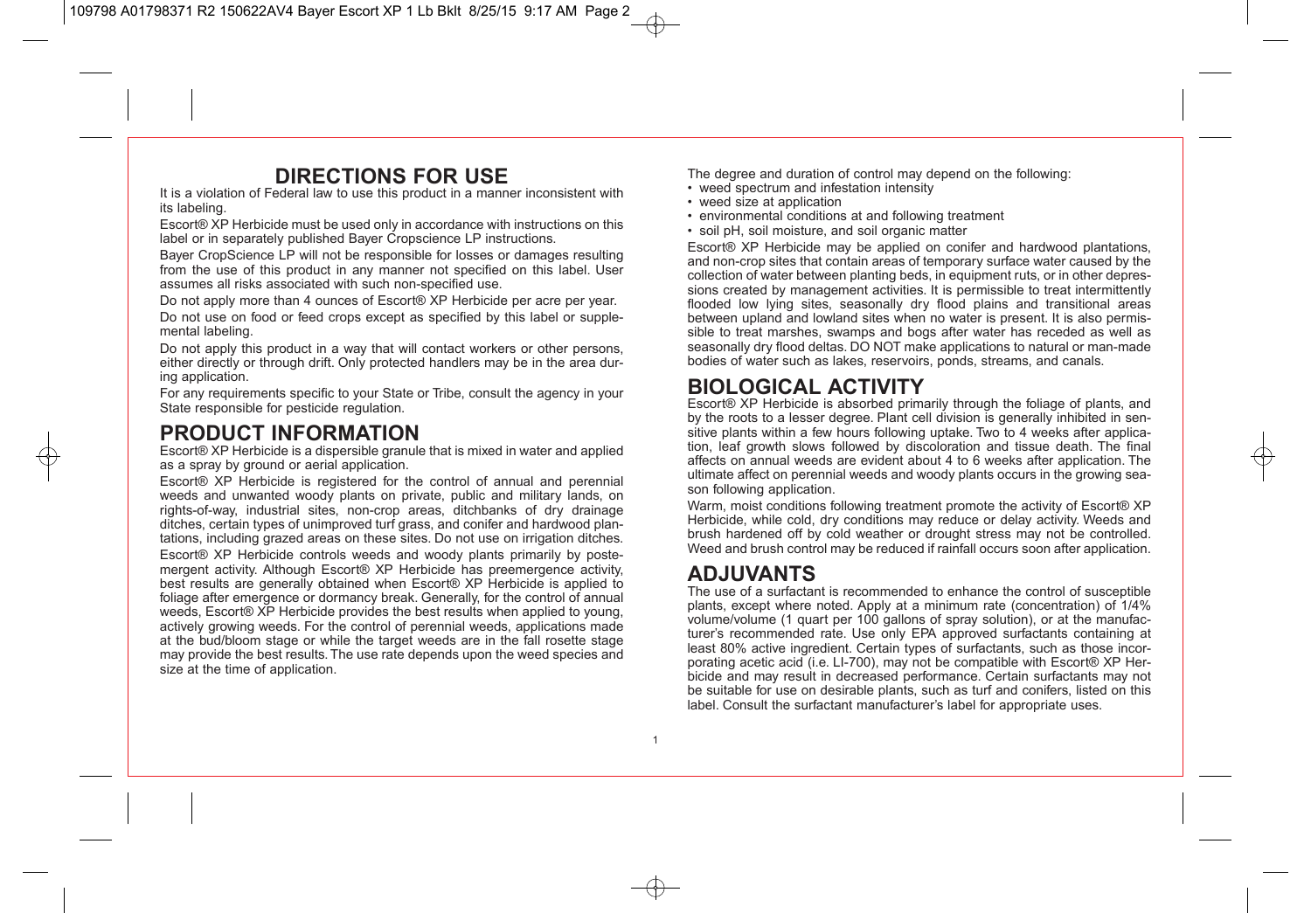## **DIRECTIONS FOR USE**

It is a violation of Federal law to use this product in a manner inconsistent with its labeling.

Escort® XP Herbicide must be used only in accordance with instructions on this label or in separately published Bayer Cropscience LP instructions.

Bayer CropScience LP will not be responsible for losses or damages resulting from the use of this product in any manner not specified on this label. User assumes all risks associated with such non-specified use.

Do not apply more than 4 ounces of Escort® XP Herbicide per acre per year. Do not use on food or feed crops except as specified by this label or supplemental labeling.

Do not apply this product in a way that will contact workers or other persons, either directly or through drift. Only protected handlers may be in the area during application.

For any requirements specific to your State or Tribe, consult the agency in your State responsible for pesticide regulation.

## **PRODUCT INFORMATION**

Escort® XP Herbicide is a dispersible granule that is mixed in water and applied as a spray by ground or aerial application.

Escort® XP Herbicide is registered for the control of annual and perennial weeds and unwanted woody plants on private, public and military lands, on rights-of-way, industrial sites, non-crop areas, ditchbanks of dry drainage ditches, certain types of unimproved turf grass, and conifer and hardwood plantations, including grazed areas on these sites. Do not use on irrigation ditches.

Escort® XP Herbicide controls weeds and woody plants primarily by postemergent activity. Although Escort® XP Herbicide has preemergence activity, best results are generally obtained when Escort® XP Herbicide is applied to foliage after emergence or dormancy break. Generally, for the control of annual weeds, Escort® XP Herbicide provides the best results when applied to young, actively growing weeds. For the control of perennial weeds, applications made at the bud/bloom stage or while the target weeds are in the fall rosette stage may provide the best results. The use rate depends upon the weed species and size at the time of application.

The degree and duration of control may depend on the following:

- weed spectrum and infestation intensity
- weed size at application
- environmental conditions at and following treatment
- soil pH, soil moisture, and soil organic matter

Escort® XP Herbicide may be applied on conifer and hardwood plantations, and non-crop sites that contain areas of temporary surface water caused by the collection of water between planting beds, in equipment ruts, or in other depressions created by management activities. It is permissible to treat intermittently flooded low lying sites, seasonally dry flood plains and transitional areas between upland and lowland sites when no water is present. It is also permissible to treat marshes, swamps and bogs after water has receded as well as seasonally dry flood deltas. DO NOT make applications to natural or man-made bodies of water such as lakes, reservoirs, ponds, streams, and canals.

## **BIOLOGICAL ACTIVITY**

Escort® XP Herbicide is absorbed primarily through the foliage of plants, and by the roots to a lesser degree. Plant cell division is generally inhibited in sensitive plants within a few hours following uptake. Two to 4 weeks after application, leaf growth slows followed by discoloration and tissue death. The final affects on annual weeds are evident about 4 to 6 weeks after application. The ultimate affect on perennial weeds and woody plants occurs in the growing season following application.

Warm, moist conditions following treatment promote the activity of Escort® XP Herbicide, while cold, dry conditions may reduce or delay activity. Weeds and brush hardened off by cold weather or drought stress may not be controlled. Weed and brush control may be reduced if rainfall occurs soon after application.

## **ADJUVANTS**

The use of a surfactant is recommended to enhance the control of susceptible plants, except where noted. Apply at a minimum rate (concentration) of 1/4% volume/volume (1 quart per 100 gallons of spray solution), or at the manufacturer's recommended rate. Use only EPA approved surfactants containing at least 80% active ingredient. Certain types of surfactants, such as those incorporating acetic acid (i.e. LI-700), may not be compatible with Escort® XP Herbicide and may result in decreased performance. Certain surfactants may not be suitable for use on desirable plants, such as turf and conifers, listed on this label. Consult the surfactant manufacturer's label for appropriate uses.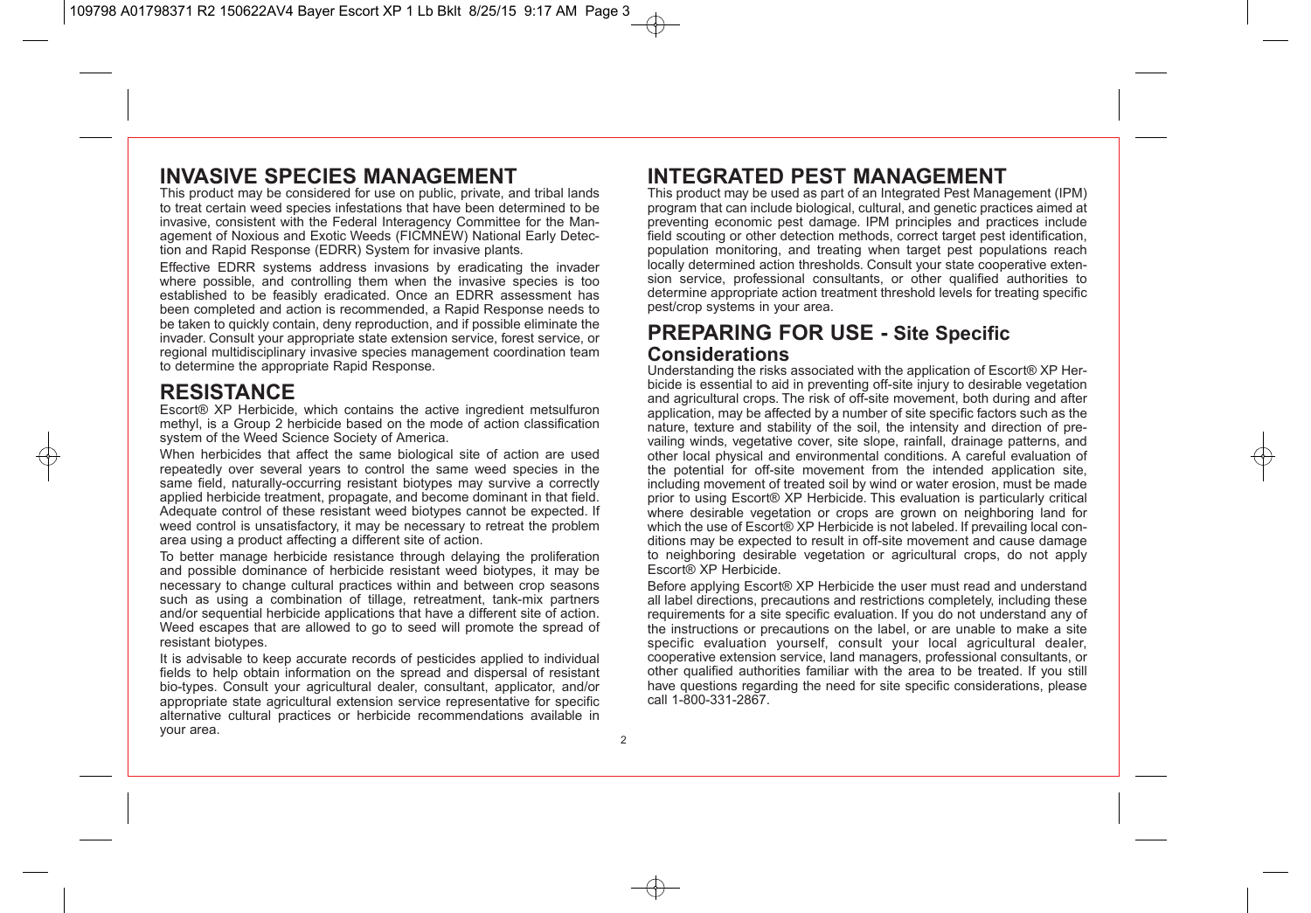## **INVASIVE SPECIES MANAGEMENT**

This product may be considered for use on public, private, and tribal lands to treat certain weed species infestations that have been determined to be invasive, consistent with the Federal Interagency Committee for the Management of Noxious and Exotic Weeds (FICMNEW) National Early Detection and Rapid Response (EDRR) System for invasive plants.

Effective EDRR systems address invasions by eradicating the invader where possible, and controlling them when the invasive species is too established to be feasibly eradicated. Once an EDRR assessment has been completed and action is recommended, a Rapid Response needs to be taken to quickly contain, deny reproduction, and if possible eliminate the invader. Consult your appropriate state extension service, forest service, or regional multidisciplinary invasive species management coordination team to determine the appropriate Rapid Response.

## **RESISTANCE**

Escort® XP Herbicide, which contains the active ingredient metsulfuron methyl, is a Group 2 herbicide based on the mode of action classification system of the Weed Science Society of America.

When herbicides that affect the same biological site of action are used repeatedly over several years to control the same weed species in the same field, naturally-occurring resistant biotypes may survive a correctly applied herbicide treatment, propagate, and become dominant in that field. Adequate control of these resistant weed biotypes cannot be expected. If weed control is unsatisfactory, it may be necessary to retreat the problem area using a product affecting a different site of action.

To better manage herbicide resistance through delaying the proliferation and possible dominance of herbicide resistant weed biotypes, it may be necessary to change cultural practices within and between crop seasons such as using a combination of tillage, retreatment, tank-mix partners and/or sequential herbicide applications that have a different site of action. Weed escapes that are allowed to go to seed will promote the spread of resistant biotypes.

It is advisable to keep accurate records of pesticides applied to individual fields to help obtain information on the spread and dispersal of resistant bio-types. Consult your agricultural dealer, consultant, applicator, and/or appropriate state agricultural extension service representative for specific alternative cultural practices or herbicide recommendations available in your area.

## **INTEGRATED PEST MANAGEMENT**

This product may be used as part of an Integrated Pest Management (IPM) program that can include biological, cultural, and genetic practices aimed at preventing economic pest damage. IPM principles and practices include field scouting or other detection methods, correct target pest identification, population monitoring, and treating when target pest populations reach locally determined action thresholds. Consult your state cooperative extension service, professional consultants, or other qualified authorities to determine appropriate action treatment threshold levels for treating specific pest/crop systems in your area.

### **PREPARING FOR USE - Site Specific Considerations**

Understanding the risks associated with the application of Escort® XP Herbicide is essential to aid in preventing off-site injury to desirable vegetation and agricultural crops. The risk of off-site movement, both during and after application, may be affected by a number of site specific factors such as the nature, texture and stability of the soil, the intensity and direction of prevailing winds, vegetative cover, site slope, rainfall, drainage patterns, and other local physical and environmental conditions. A careful evaluation of the potential for off-site movement from the intended application site, including movement of treated soil by wind or water erosion, must be made prior to using Escort® XP Herbicide. This evaluation is particularly critical where desirable vegetation or crops are grown on neighboring land for which the use of Escort® XP Herbicide is not labeled. If prevailing local conditions may be expected to result in off-site movement and cause damage to neighboring desirable vegetation or agricultural crops, do not apply Escort® XP Herbicide.

Before applying Escort® XP Herbicide the user must read and understand all label directions, precautions and restrictions completely, including these requirements for a site specific evaluation. If you do not understand any of the instructions or precautions on the label, or are unable to make a site specific evaluation yourself, consult your local agricultural dealer, cooperative extension service, land managers, professional consultants, or other qualified authorities familiar with the area to be treated. If you still have questions regarding the need for site specific considerations, please call 1-800-331-2867.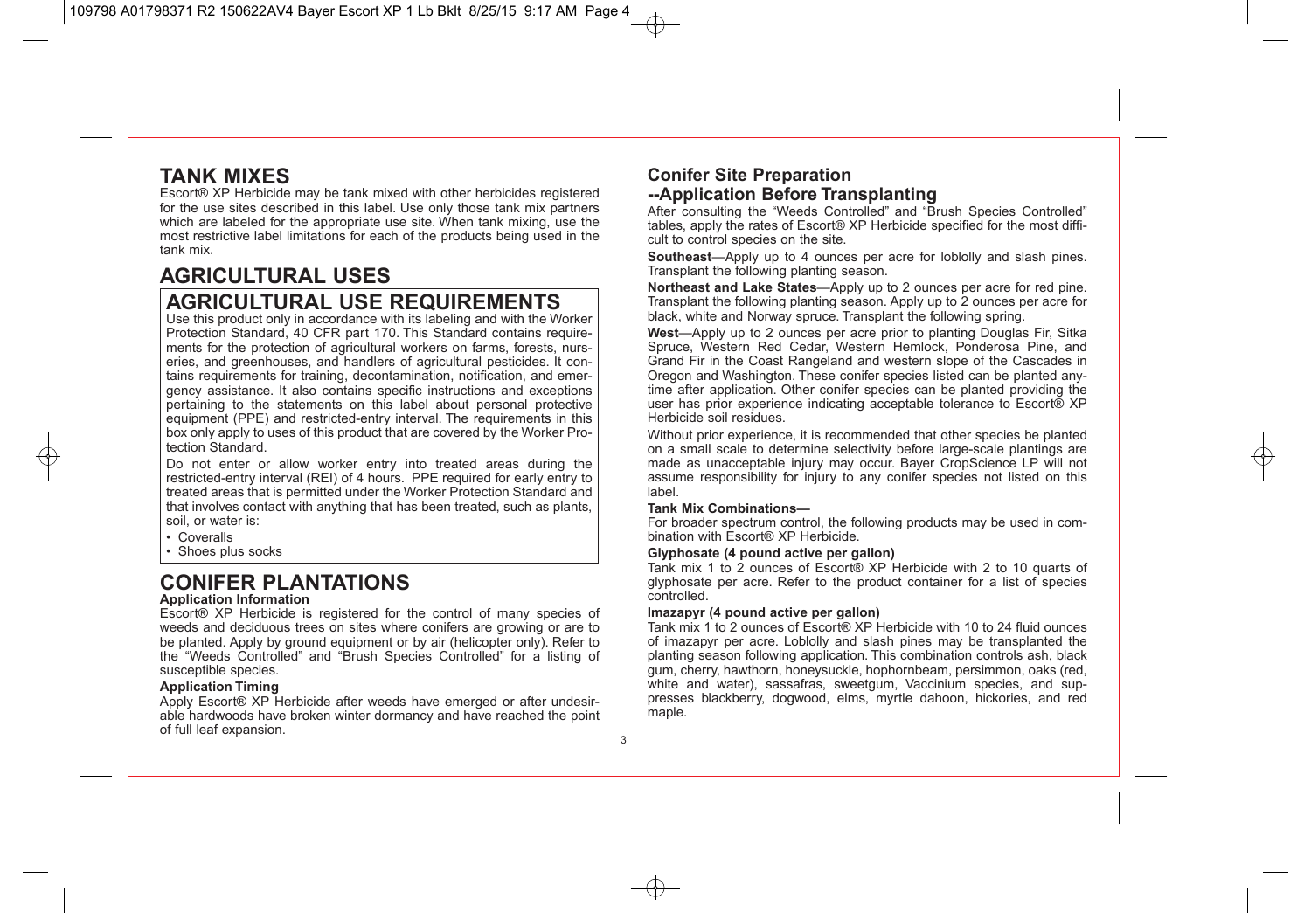## **TANK MIXES**

Escort® XP Herbicide may be tank mixed with other herbicides registered for the use sites described in this label. Use only those tank mix partners which are labeled for the appropriate use site. When tank mixing, use the most restrictive label limitations for each of the products being used in the tank mix.

# **AGRICULTURAL USES**

## **AGRICULTURAL USE REQUIREMENTS**

Use this product only in accordance with its labeling and with the Worker Protection Standard, 40 CFR part 170. This Standard contains requirements for the protection of agricultural workers on farms, forests, nurseries, and greenhouses, and handlers of agricultural pesticides. It contains requirements for training, decontamination, notification, and emergency assistance. It also contains specific instructions and exceptions pertaining to the statements on this label about personal protective equipment (PPE) and restricted-entry interval. The requirements in this box only apply to uses of this product that are covered by the Worker Protection Standard.

Do not enter or allow worker entry into treated areas during the restricted-entry interval (REI) of 4 hours. PPE required for early entry to treated areas that is permitted under the Worker Protection Standard and that involves contact with anything that has been treated, such as plants, soil, or water is:

- Coveralls
- Shoes plus socks

## **CONIFER PLANTATIONS**

#### **Application Information**

Escort® XP Herbicide is registered for the control of many species of weeds and deciduous trees on sites where conifers are growing or are to be planted. Apply by ground equipment or by air (helicopter only). Refer to the "Weeds Controlled" and "Brush Species Controlled" for a listing of susceptible species.

#### **Application Timing**

Apply Escort® XP Herbicide after weeds have emerged or after undesirable hardwoods have broken winter dormancy and have reached the point of full leaf expansion.

### **Conifer Site Preparation --Application Before Transplanting**

After consulting the "Weeds Controlled" and "Brush Species Controlled" tables, apply the rates of Escort® XP Herbicide specified for the most difficult to control species on the site.

**Southeast**—Apply up to 4 ounces per acre for loblolly and slash pines. Transplant the following planting season.

**Northeast and Lake States**—Apply up to 2 ounces per acre for red pine. Transplant the following planting season. Apply up to 2 ounces per acre for black, white and Norway spruce. Transplant the following spring.

**West**—Apply up to 2 ounces per acre prior to planting Douglas Fir, Sitka Spruce, Western Red Cedar, Western Hemlock, Ponderosa Pine, and Grand Fir in the Coast Rangeland and western slope of the Cascades in Oregon and Washington. These conifer species listed can be planted anytime after application. Other conifer species can be planted providing the user has prior experience indicating acceptable tolerance to Escort® XP Herbicide soil residues.

Without prior experience, it is recommended that other species be planted on a small scale to determine selectivity before large-scale plantings are made as unacceptable injury may occur. Bayer CropScience LP will not assume responsibility for injury to any conifer species not listed on this label.

#### **Tank Mix Combinations—**

For broader spectrum control, the following products may be used in combination with Escort® XP Herbicide.

#### **Glyphosate (4 pound active per gallon)**

Tank mix 1 to 2 ounces of Escort® XP Herbicide with 2 to 10 quarts of glyphosate per acre. Refer to the product container for a list of species controlled.

#### **Imazapyr (4 pound active per gallon)**

Tank mix 1 to 2 ounces of Escort® XP Herbicide with 10 to 24 fluid ounces of imazapyr per acre. Loblolly and slash pines may be transplanted the planting season following application. This combination controls ash, black gum, cherry, hawthorn, honeysuckle, hophornbeam, persimmon, oaks (red, white and water), sassafras, sweetgum, Vaccinium species, and suppresses blackberry, dogwood, elms, myrtle dahoon, hickories, and red maple.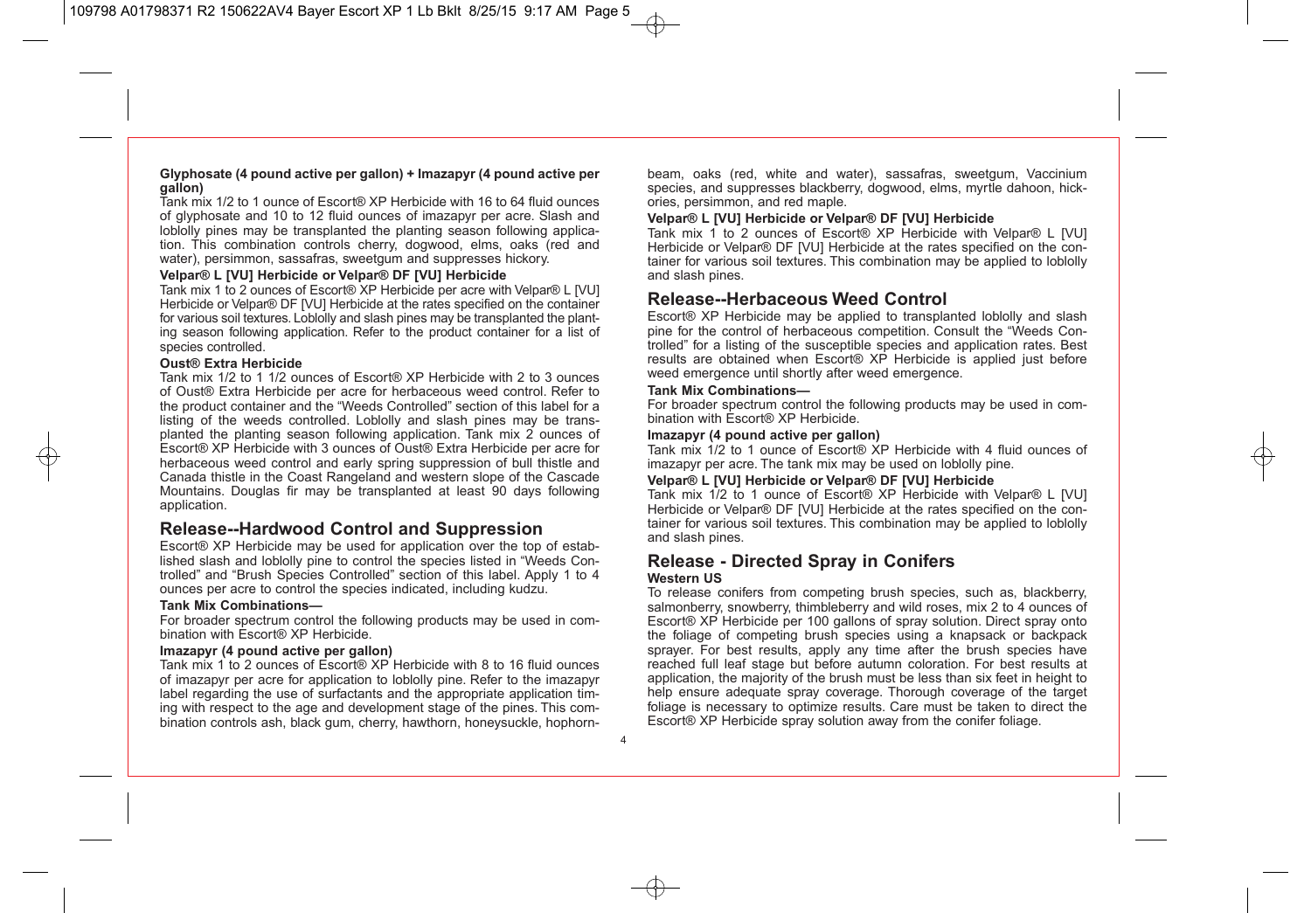#### **Glyphosate (4 pound active per gallon) + Imazapyr (4 pound active per gallon)**

Tank mix 1/2 to 1 ounce of Escort® XP Herbicide with 16 to 64 fluid ounces of glyphosate and 10 to 12 fluid ounces of imazapyr per acre. Slash and loblolly pines may be transplanted the planting season following application. This combination controls cherry, dogwood, elms, oaks (red and water), persimmon, sassafras, sweetgum and suppresses hickory.

#### **Velpar® L [VU] Herbicide or Velpar® DF [VU] Herbicide**

Tank mix 1 to 2 ounces of Escort® XP Herbicide per acre with Velpar® L [VU] Herbicide or Velpar® DF [VU] Herbicide at the rates specified on the container for various soil textures. Loblolly and slash pines may be transplanted the planting season following application. Refer to the product container for a list of species controlled.

#### **Oust® Extra Herbicide**

Tank mix 1/2 to 1 1/2 ounces of Escort® XP Herbicide with 2 to 3 ounces of Oust® Extra Herbicide per acre for herbaceous weed control. Refer to the product container and the "Weeds Controlled" section of this label for a listing of the weeds controlled. Loblolly and slash pines may be transplanted the planting season following application. Tank mix 2 ounces of Escort® XP Herbicide with 3 ounces of Oust® Extra Herbicide per acre for herbaceous weed control and early spring suppression of bull thistle and Canada thistle in the Coast Rangeland and western slope of the Cascade Mountains. Douglas fir may be transplanted at least 90 days following application.

### **Release--Hardwood Control and Suppression**

Escort® XP Herbicide may be used for application over the top of established slash and loblolly pine to control the species listed in "Weeds Controlled" and "Brush Species Controlled" section of this label. Apply 1 to 4 ounces per acre to control the species indicated, including kudzu.

#### **Tank Mix Combinations—**

For broader spectrum control the following products may be used in combination with Escort® XP Herbicide.

#### **Imazapyr (4 pound active per gallon)**

Tank mix 1 to 2 ounces of Escort® XP Herbicide with 8 to 16 fluid ounces of imazapyr per acre for application to loblolly pine. Refer to the imazapyr label regarding the use of surfactants and the appropriate application timing with respect to the age and development stage of the pines. This combination controls ash, black gum, cherry, hawthorn, honeysuckle, hophornbeam, oaks (red, white and water), sassafras, sweetgum, Vaccinium species, and suppresses blackberry, dogwood, elms, myrtle dahoon, hickories, persimmon, and red maple.

#### **Velpar® L [VU] Herbicide or Velpar® DF [VU] Herbicide**

Tank mix 1 to 2 ounces of Escort® XP Herbicide with Velpar® L [VU] Herbicide or Velpar® DF IVUI Herbicide at the rates specified on the container for various soil textures. This combination may be applied to loblolly and slash pines.

### **Release--Herbaceous Weed Control**

Escort® XP Herbicide may be applied to transplanted loblolly and slash pine for the control of herbaceous competition. Consult the "Weeds Controlled" for a listing of the susceptible species and application rates. Best results are obtained when Escort® XP Herbicide is applied just before weed emergence until shortly after weed emergence.

#### **Tank Mix Combinations—**

For broader spectrum control the following products may be used in combination with Escort® XP Herbicide.

#### **Imazapyr (4 pound active per gallon)**

Tank mix 1/2 to 1 ounce of Escort® XP Herbicide with 4 fluid ounces of imazapyr per acre. The tank mix may be used on loblolly pine.

#### **Velpar® L [VU] Herbicide or Velpar® DF [VU] Herbicide**

Tank mix 1/2 to 1 ounce of Escort® XP Herbicide with Velpar® L [VU] Herbicide or Velpar® DF IVUI Herbicide at the rates specified on the container for various soil textures. This combination may be applied to loblolly and slash pines.

#### **Release - Directed Spray in Conifers Western US**

To release conifers from competing brush species, such as, blackberry, salmonberry, snowberry, thimbleberry and wild roses, mix 2 to 4 ounces of Escort® XP Herbicide per 100 gallons of spray solution. Direct spray onto the foliage of competing brush species using a knapsack or backpack sprayer. For best results, apply any time after the brush species have reached full leaf stage but before autumn coloration. For best results at application, the majority of the brush must be less than six feet in height to help ensure adequate spray coverage. Thorough coverage of the target foliage is necessary to optimize results. Care must be taken to direct the Escort® XP Herbicide spray solution away from the conifer foliage.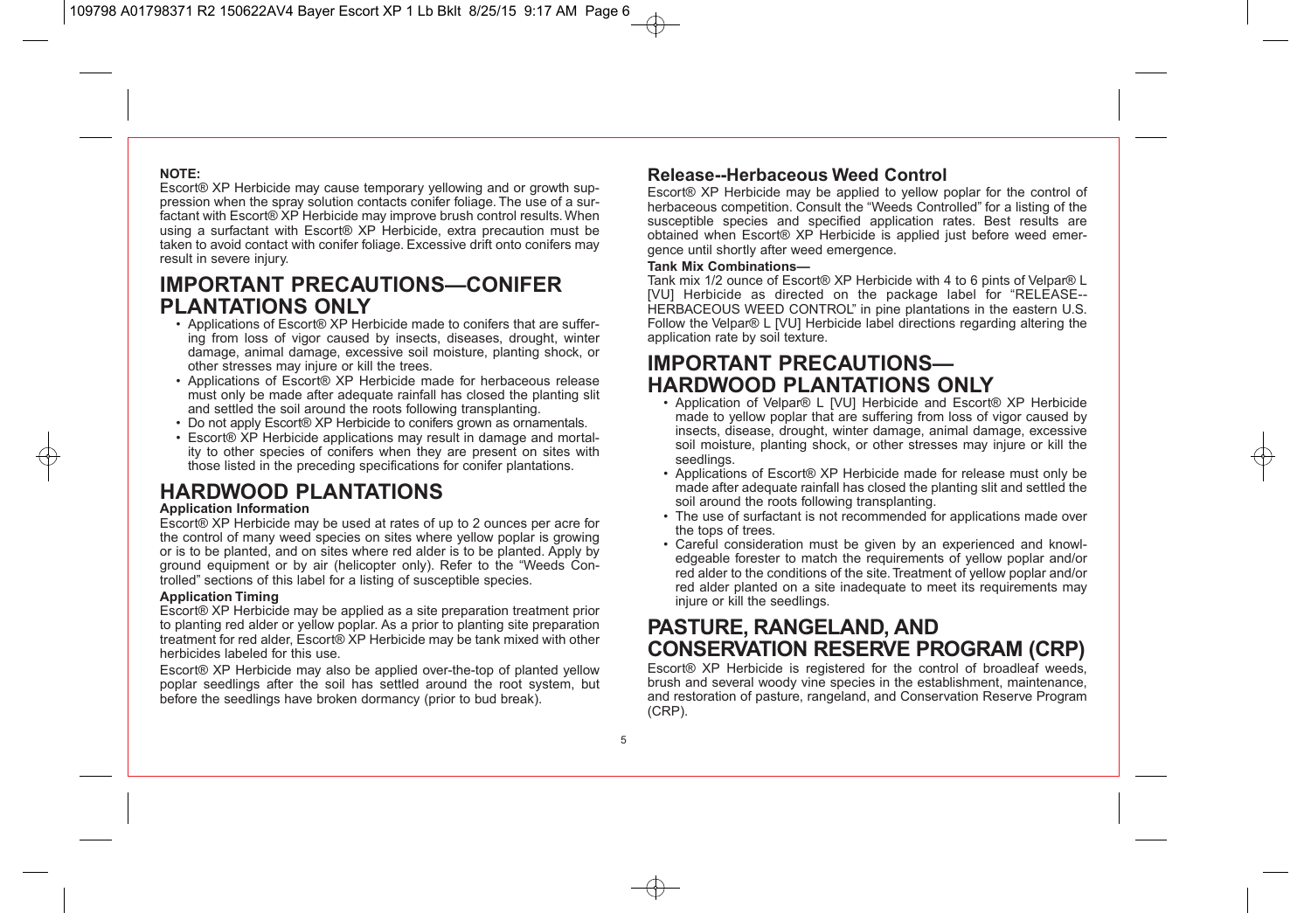#### **NOTE:**

Escort® XP Herbicide may cause temporary yellowing and or growth suppression when the spray solution contacts conifer foliage. The use of a surfactant with Escort® XP Herbicide may improve brush control results. When using a surfactant with Escort® XP Herbicide, extra precaution must be taken to avoid contact with conifer foliage. Excessive drift onto conifers may result in severe injury.

## **IMPORTANT PRECAUTIONS—CONIFER PLANTATIONS ONLY**

- Applications of Escort® XP Herbicide made to conifers that are suffering from loss of vigor caused by insects, diseases, drought, winter damage, animal damage, excessive soil moisture, planting shock, or other stresses may injure or kill the trees.
- Applications of Escort® XP Herbicide made for herbaceous release must only be made after adequate rainfall has closed the planting slit and settled the soil around the roots following transplanting.
- Do not apply Escort® XP Herbicide to conifers grown as ornamentals.
- Escort® XP Herbicide applications may result in damage and mortality to other species of conifers when they are present on sites with those listed in the preceding specifications for conifer plantations.

## **HARDWOOD PLANTATIONS**

#### **Application Information**

Escort® XP Herbicide may be used at rates of up to 2 ounces per acre for the control of many weed species on sites where yellow poplar is growing or is to be planted, and on sites where red alder is to be planted. Apply by ground equipment or by air (helicopter only). Refer to the "Weeds Controlled" sections of this label for a listing of susceptible species.

#### **Application Timing**

Escort® XP Herbicide may be applied as a site preparation treatment prior to planting red alder or yellow poplar. As a prior to planting site preparation treatment for red alder, Escort® XP Herbicide may be tank mixed with other herbicides labeled for this use.

Escort® XP Herbicide may also be applied over-the-top of planted yellow poplar seedlings after the soil has settled around the root system, but before the seedlings have broken dormancy (prior to bud break).

### **Release--Herbaceous Weed Control**

Escort® XP Herbicide may be applied to yellow poplar for the control of herbaceous competition. Consult the "Weeds Controlled" for a listing of the susceptible species and specified application rates. Best results are obtained when Escort® XP Herbicide is applied just before weed emergence until shortly after weed emergence.

#### **Tank Mix Combinations—**

Tank mix 1/2 ounce of Escort® XP Herbicide with 4 to 6 pints of Velpar® L [VU] Herbicide as directed on the package label for "RELEASE-- HERBACEOUS WEED CONTROL" in pine plantations in the eastern U.S. Follow the Velpar® L [VU] Herbicide label directions regarding altering the application rate by soil texture.

## **IMPORTANT PRECAUTIONS— HARDWOOD PLANTATIONS ONLY**

- Application of Velpar® L [VU] Herbicide and Escort® XP Herbicide made to yellow poplar that are suffering from loss of vigor caused by insects, disease, drought, winter damage, animal damage, excessive soil moisture, planting shock, or other stresses may injure or kill the seedlings.
- Applications of Escort® XP Herbicide made for release must only be made after adequate rainfall has closed the planting slit and settled the soil around the roots following transplanting.
- The use of surfactant is not recommended for applications made over the tops of trees.
- Careful consideration must be given by an experienced and knowledgeable forester to match the requirements of yellow poplar and/or red alder to the conditions of the site. Treatment of yellow poplar and/or red alder planted on a site inadequate to meet its requirements may injure or kill the seedlings.

## **PASTURE, RANGELAND, AND CONSERVATION RESERVE PROGRAM (CRP)**

Escort<sup>®</sup> XP Herbicide is registered for the control of broadleaf weeds. brush and several woody vine species in the establishment, maintenance, and restoration of pasture, rangeland, and Conservation Reserve Program (CRP).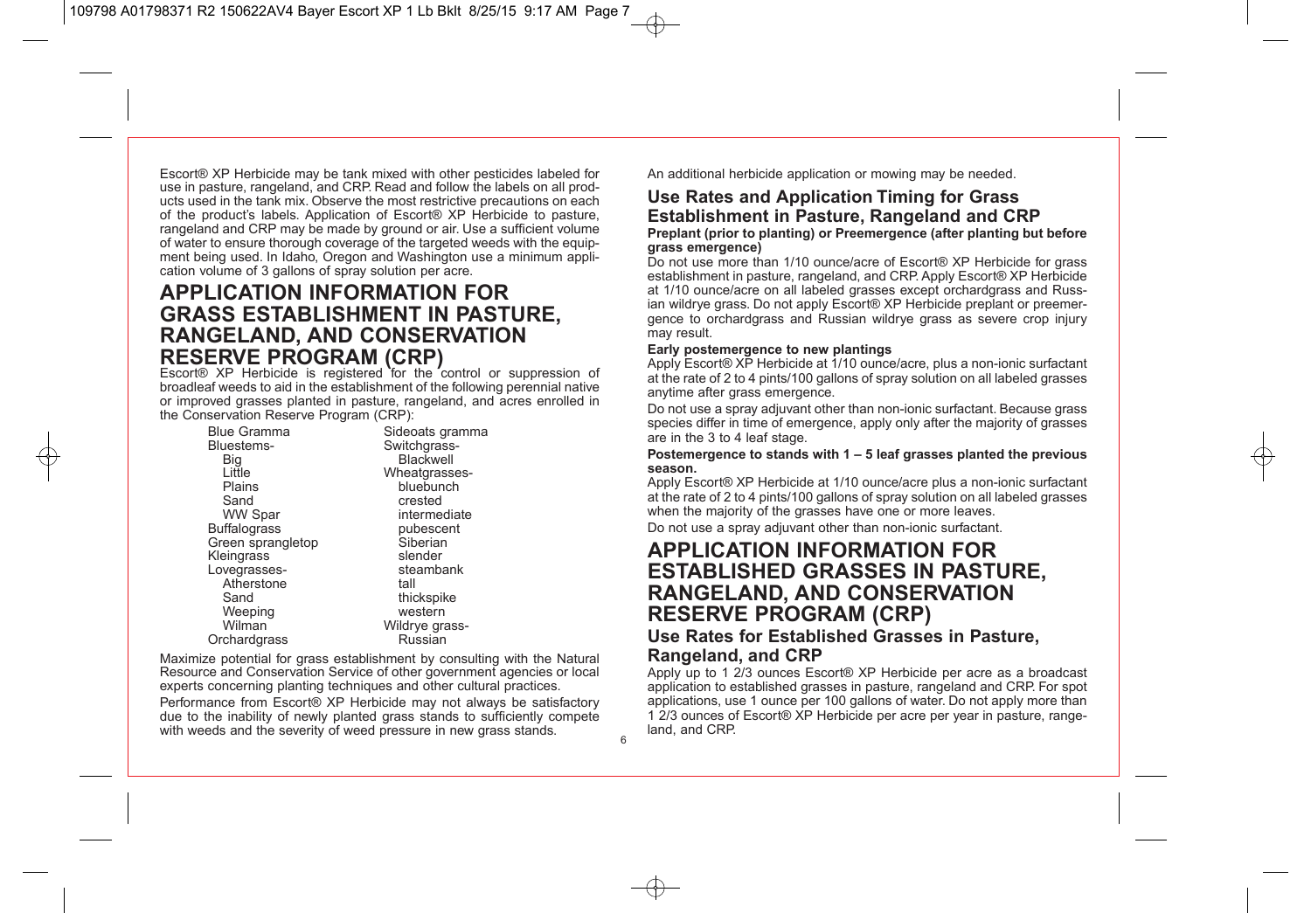Escort® XP Herbicide may be tank mixed with other pesticides labeled for use in pasture, rangeland, and CRP. Read and follow the labels on all products used in the tank mix. Observe the most restrictive precautions on each of the product's labels. Application of Escort® XP Herbicide to pasture, rangeland and CRP may be made by ground or air. Use a sufficient volume of water to ensure thorough coverage of the targeted weeds with the equipment being used. In Idaho, Oregon and Washington use a minimum application volume of 3 gallons of spray solution per acre.

### **APPLICATION INFORMATION FOR GRASS ESTABLISHMENT IN PASTURE, RANGELAND, AND CONSERVATION RESERVE PROGRAM (CRP)**

Escort<sup>®</sup> XP Herbicide is registered for the control or suppression of broadleaf weeds to aid in the establishment of the following perennial native or improved grasses planted in pasture, rangeland, and acres enrolled in the Conservation Reserve Program (CRP):<br>Blue Gramma

| <b>Blue Gramma</b> | Sideoats gramma |
|--------------------|-----------------|
| Bluestems-         | Switchgrass-    |
| Big                | Blackwell       |
| Little             | Wheatgrasses-   |
| Plains             | bluebunch       |
| Sand               | crested         |
| <b>WW Spar</b>     | intermediate    |
| Buffalograss       | pubescent       |
| Green sprangletop  | Siberian        |
| Kleingrass         | slender         |
| Lovegrasses-       | steambank       |
| Atherstone         | tall            |
| Sand               | thickspike      |
| Weeping            | western         |
| Wilman             | Wildrye grass-  |
| Orchardgrass       | Russian         |
|                    |                 |

Maximize potential for grass establishment by consulting with the Natural Resource and Conservation Service of other government agencies or local experts concerning planting techniques and other cultural practices. Performance from Escort® XP Herbicide may not always be satisfactory due to the inability of newly planted grass stands to sufficiently compete with weeds and the severity of weed pressure in new grass stands.

An additional herbicide application or mowing may be needed.

### **Use Rates and Application Timing for Grass Establishment in Pasture, Rangeland and CRP**

#### **Preplant (prior to planting) or Preemergence (after planting but before grass emergence)**

Do not use more than 1/10 ounce/acre of Escort® XP Herbicide for grass establishment in pasture, rangeland, and CRP. Apply Escort® XP Herbicide at 1/10 ounce/acre on all labeled grasses except orchardgrass and Russian wildrye grass. Do not apply Escort® XP Herbicide preplant or preemergence to orchardgrass and Russian wildrye grass as severe crop injury may result.

#### **Early postemergence to new plantings**

Apply Escort® XP Herbicide at 1/10 ounce/acre, plus a non-ionic surfactant at the rate of 2 to 4 pints/100 gallons of spray solution on all labeled grasses anytime after grass emergence.

Do not use a spray adjuvant other than non-ionic surfactant. Because grass species differ in time of emergence, apply only after the majority of grasses are in the 3 to 4 leaf stage.

#### **Postemergence to stands with 1 – 5 leaf grasses planted the previous season.**

Apply Escort® XP Herbicide at 1/10 ounce/acre plus a non-ionic surfactant at the rate of 2 to 4 pints/100 gallons of spray solution on all labeled grasses when the majority of the grasses have one or more leaves.

Do not use a spray adjuvant other than non-ionic surfactant.

### **APPLICATION INFORMATION FOR ESTABLISHED GRASSES IN PASTURE, RANGELAND, AND CONSERVATION RESERVE PROGRAM (CRP)**

### **Use Rates for Established Grasses in Pasture, Rangeland, and CRP**

Apply up to 1 2/3 ounces Escort® XP Herbicide per acre as a broadcast application to established grasses in pasture, rangeland and CRP. For spot applications, use 1 ounce per 100 gallons of water. Do not apply more than 1 2/3 ounces of Escort® XP Herbicide per acre per year in pasture, rangeland, and CRP.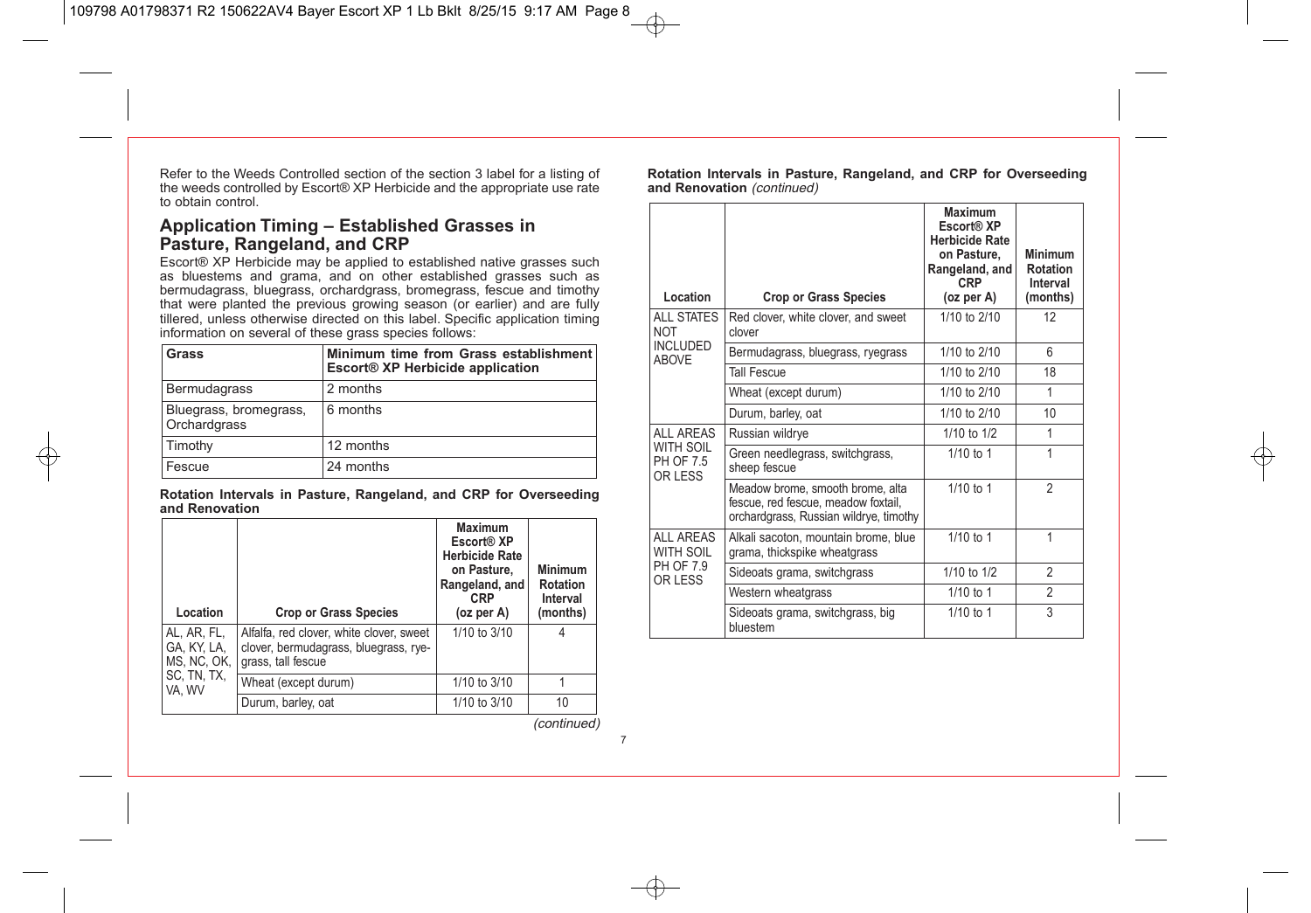Refer to the Weeds Controlled section of the section 3 label for a listing of the weeds controlled by Escort® XP Herbicide and the appropriate use rate to obtain control.

### **Application Timing – Established Grasses in Pasture, Rangeland, and CRP**

Escort® XP Herbicide may be applied to established native grasses such as bluestems and grama, and on other established grasses such as bermudagrass, bluegrass, orchardgrass, bromegrass, fescue and timothy that were planted the previous growing season (or earlier) and are fully tillered, unless otherwise directed on this label. Specific application timing information on several of these grass species follows:

| Grass                                  | Minimum time from Grass establishment<br>Escort® XP Herbicide application |
|----------------------------------------|---------------------------------------------------------------------------|
| Bermudagrass                           | 2 months                                                                  |
| Bluegrass, bromegrass,<br>Orchardgrass | 6 months                                                                  |
| Timothy                                | 12 months                                                                 |
| Fescue                                 | 24 months                                                                 |

**Rotation Intervals in Pasture, Rangeland, and CRP for Overseeding and Renovation**

| Location                                  | <b>Crop or Grass Species</b>                                                                            | <b>Maximum</b><br>Escort <sup>®</sup> XP<br><b>Herbicide Rate</b><br>on Pasture,<br>Rangeland, and<br><b>CRP</b><br>(oz per A) | <b>Minimum</b><br><b>Rotation</b><br>Interval<br>(months) |
|-------------------------------------------|---------------------------------------------------------------------------------------------------------|--------------------------------------------------------------------------------------------------------------------------------|-----------------------------------------------------------|
| AL, AR, FL,<br>GA, KY, LA,<br>MS, NC, OK, | Alfalfa, red clover, white clover, sweet<br>clover, bermudagrass, bluegrass, rye-<br>grass, tall fescue | 1/10 to 3/10                                                                                                                   |                                                           |
| SC, TN, TX,<br>VA. WV                     | Wheat (except durum)                                                                                    | 1/10 to 3/10                                                                                                                   |                                                           |
|                                           | Durum, barley, oat                                                                                      | 1/10 to 3/10                                                                                                                   | 10                                                        |

**Rotation Intervals in Pasture, Rangeland, and CRP for Overseeding and Renovation** (continued)

| Location                          | <b>Crop or Grass Species</b>                                                                                      | <b>Maximum</b><br>Escort® XP<br><b>Herbicide Rate</b><br>on Pasture.<br>Rangeland, and<br><b>CRP</b><br>(oz per A) | Minimum<br><b>Rotation</b><br>Interval<br>(months) |
|-----------------------------------|-------------------------------------------------------------------------------------------------------------------|--------------------------------------------------------------------------------------------------------------------|----------------------------------------------------|
| <b>ALL STATES</b><br><b>NOT</b>   | Red clover, white clover, and sweet<br>clover                                                                     | 1/10 to 2/10                                                                                                       | 12 <sup>2</sup>                                    |
| <b>INCLUDED</b><br><b>ABOVE</b>   | Bermudagrass, bluegrass, ryegrass                                                                                 | 1/10 to 2/10                                                                                                       | 6                                                  |
|                                   | <b>Tall Fescue</b>                                                                                                | 1/10 to 2/10                                                                                                       | 18                                                 |
|                                   | Wheat (except durum)                                                                                              | 1/10 to 2/10                                                                                                       | 1                                                  |
|                                   | Durum, barley, oat                                                                                                | 1/10 to 2/10                                                                                                       | 10                                                 |
| <b>ALL AREAS</b>                  | Russian wildrye                                                                                                   | 1/10 to $1/2$                                                                                                      | 1                                                  |
| WITH SOIL<br>PH OF 7.5<br>OR LESS | Green needlegrass, switchgrass,<br>sheep fescue                                                                   | $1/10$ to 1                                                                                                        | 1                                                  |
|                                   | Meadow brome, smooth brome, alta<br>fescue, red fescue, meadow foxtail,<br>orchardgrass, Russian wildrye, timothy | 1/10 to 1                                                                                                          | $\mathfrak{p}$                                     |
| <b>ALL AREAS</b><br>WITH SOIL     | Alkali sacoton, mountain brome, blue<br>grama, thickspike wheatgrass                                              | 1/10 to 1                                                                                                          | 1                                                  |
| PH OF 7.9<br>OR LESS              | Sideoats grama, switchgrass                                                                                       | 1/10 to 1/2                                                                                                        | $\overline{2}$                                     |
|                                   | Western wheatgrass                                                                                                | $1/10$ to 1                                                                                                        | $\overline{2}$                                     |
|                                   | Sideoats grama, switchgrass, big<br>bluestem                                                                      | 1/10 to 1                                                                                                          | 3                                                  |

(continued)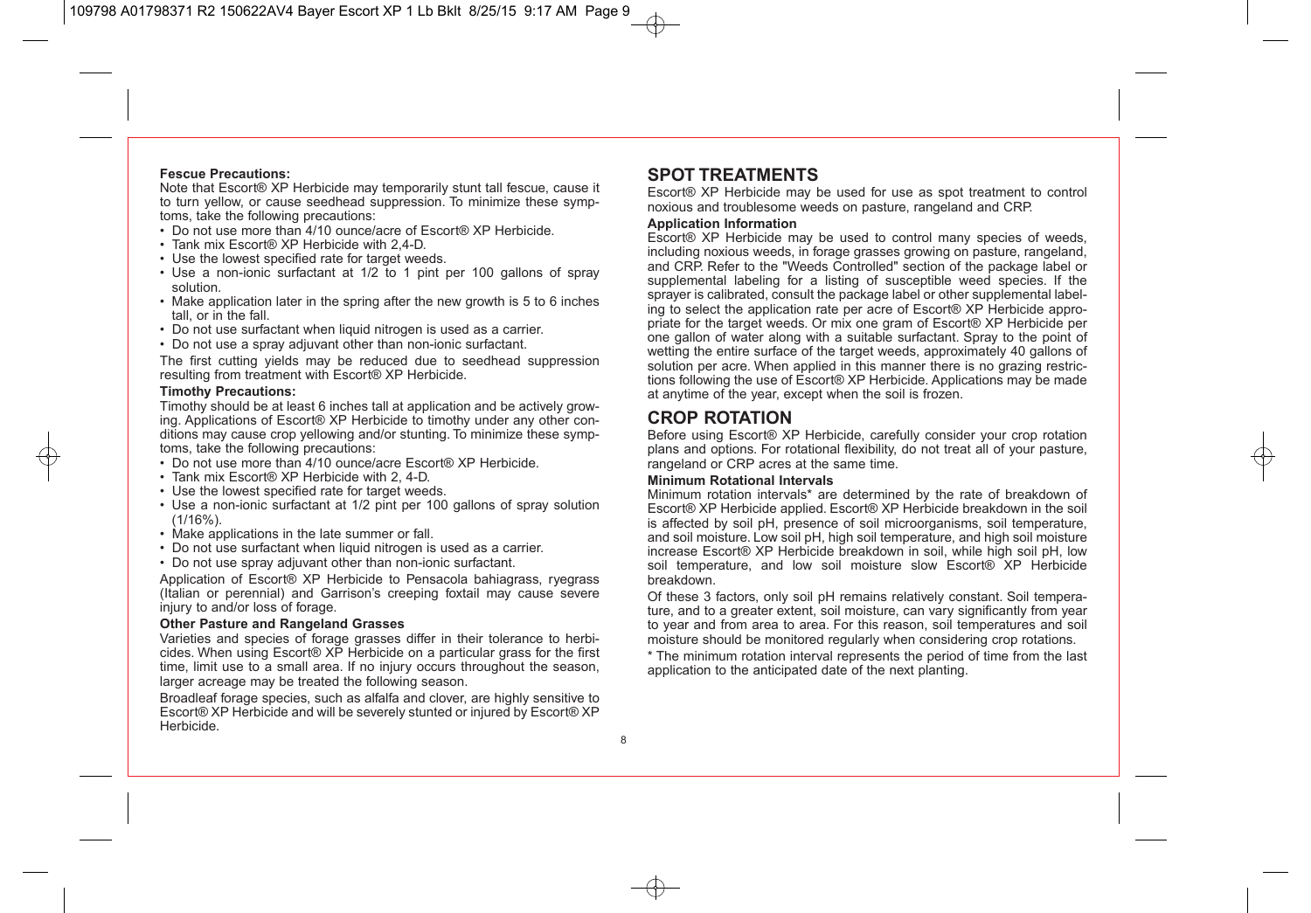#### **Fescue Precautions:**

Note that Escort® XP Herbicide may temporarily stunt tall fescue, cause it to turn yellow, or cause seedhead suppression. To minimize these symptoms, take the following precautions:

- Do not use more than 4/10 ounce/acre of Escort® XP Herbicide.
- Tank mix Escort® XP Herbicide with 2,4-D.
- Use the lowest specified rate for target weeds.
- Use a non-ionic surfactant at 1/2 to 1 pint per 100 gallons of spray solution.
- Make application later in the spring after the new growth is 5 to 6 inches tall, or in the fall.
- Do not use surfactant when liquid nitrogen is used as a carrier.
- Do not use a spray adjuvant other than non-ionic surfactant.

The first cutting yields may be reduced due to seedhead suppression resulting from treatment with Escort® XP Herbicide.

#### **Timothy Precautions:**

Timothy should be at least 6 inches tall at application and be actively growing. Applications of Escort® XP Herbicide to timothy under any other conditions may cause crop yellowing and/or stunting. To minimize these symptoms, take the following precautions:

- Do not use more than 4/10 ounce/acre Escort® XP Herbicide.
- Tank mix Escort® XP Herbicide with 2, 4-D.
- Use the lowest specified rate for target weeds.
- Use a non-ionic surfactant at 1/2 pint per 100 gallons of spray solution (1/16%).
- Make applications in the late summer or fall.
- Do not use surfactant when liquid nitrogen is used as a carrier.
- Do not use spray adjuvant other than non-ionic surfactant.

Application of Escort® XP Herbicide to Pensacola bahiagrass, ryegrass (Italian or perennial) and Garrison's creeping foxtail may cause severe injury to and/or loss of forage.

#### **Other Pasture and Rangeland Grasses**

Varieties and species of forage grasses differ in their tolerance to herbicides. When using Escort® XP Herbicide on a particular grass for the first time, limit use to a small area. If no injury occurs throughout the season, larger acreage may be treated the following season.

Broadleaf forage species, such as alfalfa and clover, are highly sensitive to Escort® XP Herbicide and will be severely stunted or injured by Escort® XP Herbicide.

### **SPOT TREATMENTS**

Escort® XP Herbicide may be used for use as spot treatment to control noxious and troublesome weeds on pasture, rangeland and CRP.

#### **Application Information**

Escort® XP Herbicide may be used to control many species of weeds, including noxious weeds, in forage grasses growing on pasture, rangeland, and CRP. Refer to the "Weeds Controlled" section of the package label or supplemental labeling for a listing of susceptible weed species. If the sprayer is calibrated, consult the package label or other supplemental labeling to select the application rate per acre of Escort® XP Herbicide appropriate for the target weeds. Or mix one gram of Escort® XP Herbicide per one gallon of water along with a suitable surfactant. Spray to the point of wetting the entire surface of the target weeds, approximately 40 gallons of solution per acre. When applied in this manner there is no grazing restrictions following the use of Escort® XP Herbicide. Applications may be made at anytime of the year, except when the soil is frozen.

### **CROP ROTATION**

Before using Escort® XP Herbicide, carefully consider your crop rotation plans and options. For rotational flexibility, do not treat all of your pasture, rangeland or CRP acres at the same time.

#### **Minimum Rotational Intervals**

Minimum rotation intervals\* are determined by the rate of breakdown of Escort® XP Herbicide applied. Escort® XP Herbicide breakdown in the soil is affected by soil pH, presence of soil microorganisms, soil temperature, and soil moisture. Low soil pH, high soil temperature, and high soil moisture increase Escort® XP Herbicide breakdown in soil, while high soil pH, low soil temperature, and low soil moisture slow Escort® XP Herbicide breakdown.

Of these 3 factors, only soil pH remains relatively constant. Soil temperature, and to a greater extent, soil moisture, can vary significantly from year to year and from area to area. For this reason, soil temperatures and soil moisture should be monitored regularly when considering crop rotations.

\* The minimum rotation interval represents the period of time from the last application to the anticipated date of the next planting.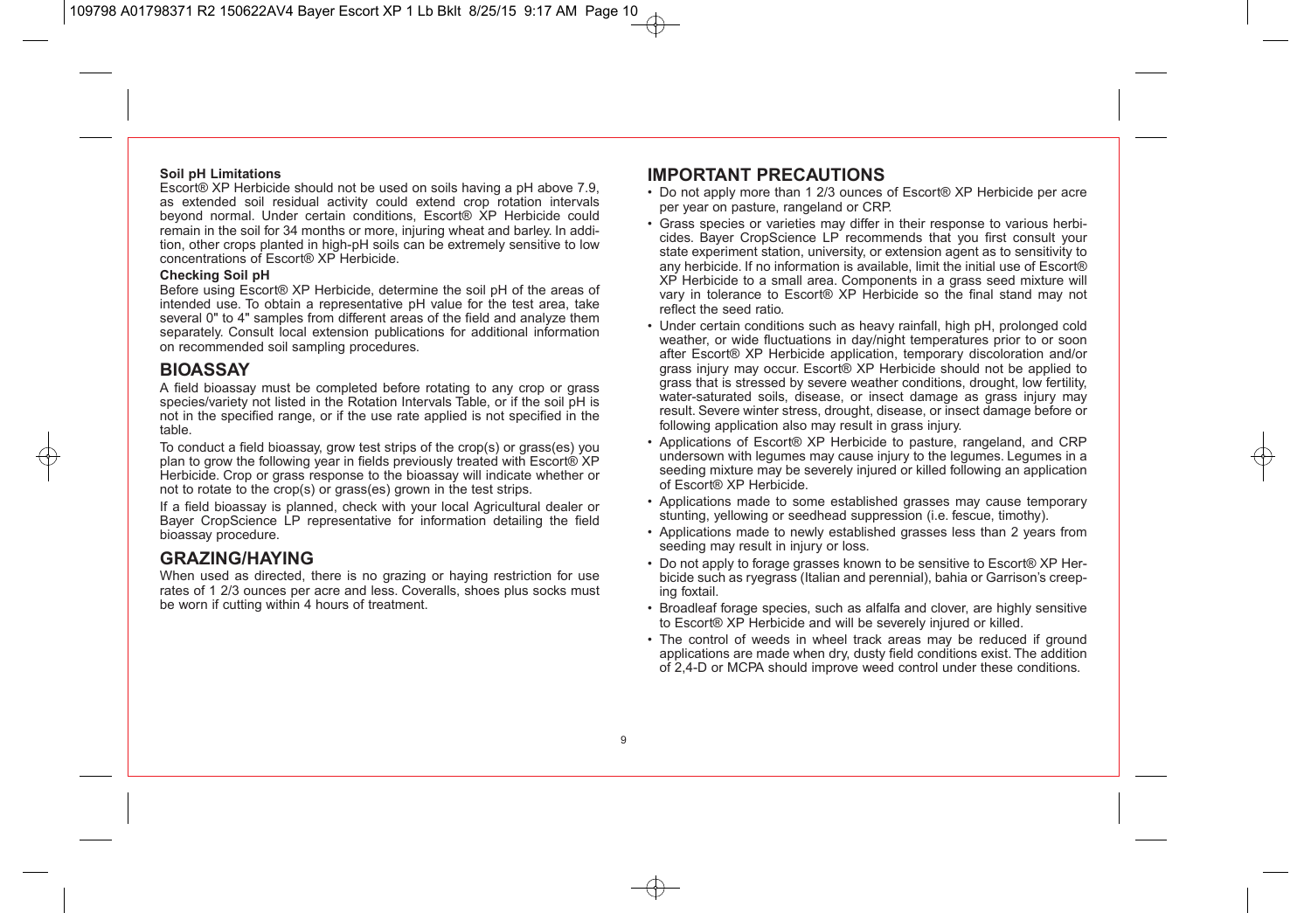#### **Soil pH Limitations**

Escort® XP Herbicide should not be used on soils having a pH above 7.9, as extended soil residual activity could extend crop rotation intervals beyond normal. Under certain conditions, Escort® XP Herbicide could remain in the soil for 34 months or more, injuring wheat and barley. In addition, other crops planted in high-pH soils can be extremely sensitive to low concentrations of Escort® XP Herbicide.

#### **Checking Soil pH**

Before using Escort® XP Herbicide, determine the soil pH of the areas of intended use. To obtain a representative pH value for the test area, take several 0" to 4" samples from different areas of the field and analyze them separately. Consult local extension publications for additional information on recommended soil sampling procedures.

### **BIOASSAY**

A field bioassay must be completed before rotating to any crop or grass species/variety not listed in the Rotation Intervals Table, or if the soil pH is not in the specified range, or if the use rate applied is not specified in the table.

To conduct a field bioassay, grow test strips of the crop(s) or grass(es) you plan to grow the following year in fields previously treated with Escort® XP Herbicide. Crop or grass response to the bioassay will indicate whether or not to rotate to the crop(s) or grass(es) grown in the test strips.

If a field bioassay is planned, check with your local Agricultural dealer or Bayer CropScience LP representative for information detailing the field bioassay procedure.

### **GRAZING/HAYING**

When used as directed, there is no grazing or haying restriction for use rates of 1 2/3 ounces per acre and less. Coveralls, shoes plus socks must be worn if cutting within 4 hours of treatment.

### **IMPORTANT PRECAUTIONS**

- Do not apply more than 1 2/3 ounces of Escort® XP Herbicide per acre per year on pasture, rangeland or CRP.
- Grass species or varieties may differ in their response to various herbicides. Bayer CropScience LP recommends that you first consult your state experiment station, university, or extension agent as to sensitivity to any herbicide. If no information is available, limit the initial use of Escort® XP Herbicide to a small area. Components in a grass seed mixture will vary in tolerance to Escort® XP Herbicide so the final stand may not reflect the seed ratio.
- Under certain conditions such as heavy rainfall, high pH, prolonged cold weather, or wide fluctuations in day/night temperatures prior to or soon after Escort® XP Herbicide application, temporary discoloration and/or grass injury may occur. Escort® XP Herbicide should not be applied to grass that is stressed by severe weather conditions, drought, low fertility, water-saturated soils, disease, or insect damage as grass injury may result. Severe winter stress, drought, disease, or insect damage before or following application also may result in grass injury.
- Applications of Escort® XP Herbicide to pasture, rangeland, and CRP undersown with legumes may cause injury to the legumes. Legumes in a seeding mixture may be severely injured or killed following an application of Escort® XP Herbicide.
- Applications made to some established grasses may cause temporary stunting, yellowing or seedhead suppression (i.e. fescue, timothy).
- Applications made to newly established grasses less than 2 years from seeding may result in injury or loss.
- Do not apply to forage grasses known to be sensitive to Escort® XP Herbicide such as ryegrass (Italian and perennial), bahia or Garrison's creeping foxtail.
- Broadleaf forage species, such as alfalfa and clover, are highly sensitive to Escort® XP Herbicide and will be severely injured or killed.
- The control of weeds in wheel track areas may be reduced if ground applications are made when dry, dusty field conditions exist. The addition of 2,4-D or MCPA should improve weed control under these conditions.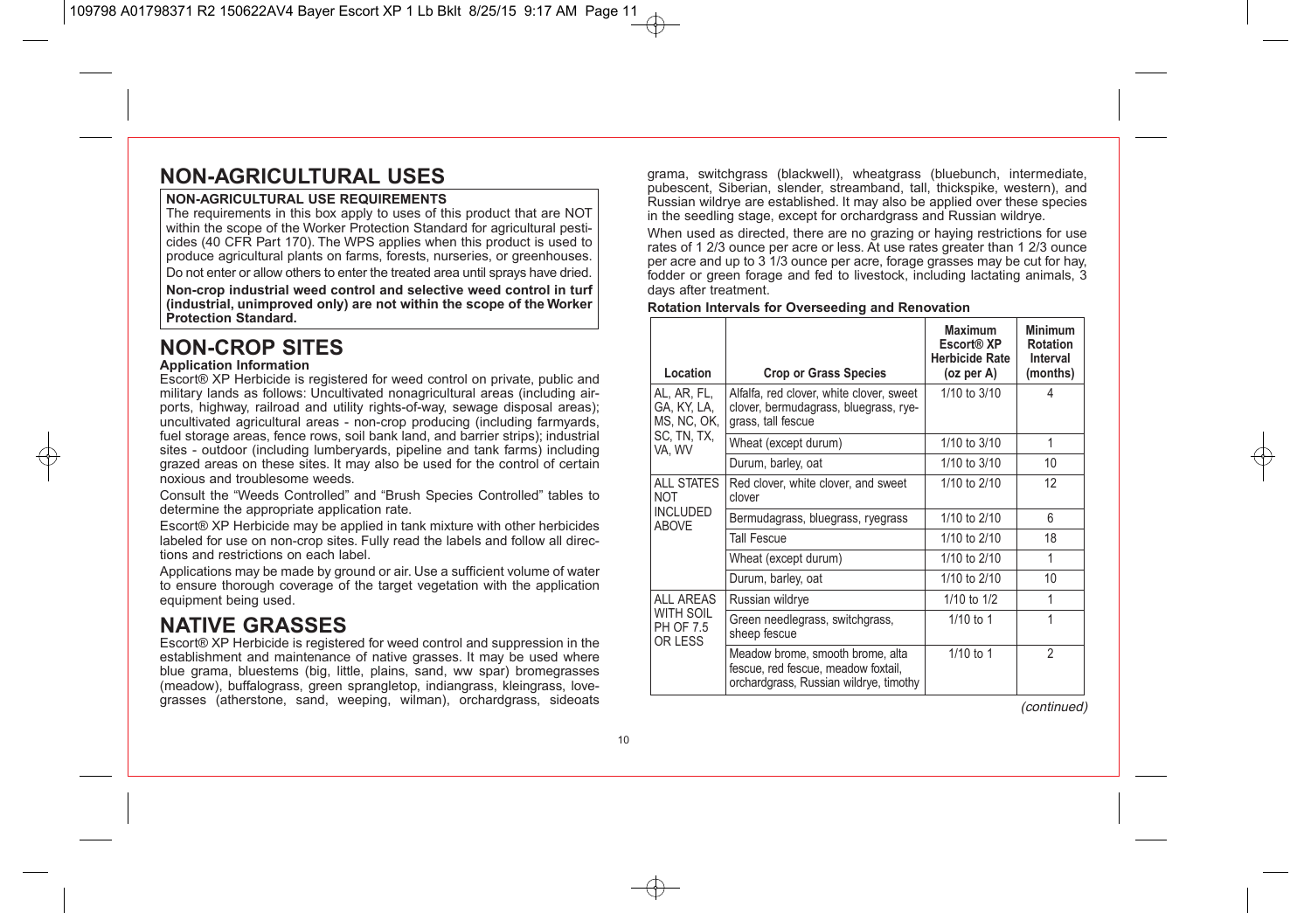## **NON-AGRICULTURAL USES**

#### **NON-AGRICULTURAL USE REQUIREMENTS**

The requirements in this box apply to uses of this product that are NOT within the scope of the Worker Protection Standard for agricultural pesticides (40 CFR Part 170). The WPS applies when this product is used to produce agricultural plants on farms, forests, nurseries, or greenhouses. Do not enter or allow others to enter the treated area until sprays have dried.

**Non-crop industrial weed control and selective weed control in turf (industrial, unimproved only) are not within the scope of the Worker Protection Standard.**

## **NON-CROP SITES**

#### **Application Information**

Escort® XP Herbicide is registered for weed control on private, public and military lands as follows: Uncultivated nonagricultural areas (including airports, highway, railroad and utility rights-of-way, sewage disposal areas); uncultivated agricultural areas - non-crop producing (including farmyards, fuel storage areas, fence rows, soil bank land, and barrier strips); industrial sites - outdoor (including lumberyards, pipeline and tank farms) including grazed areas on these sites. It may also be used for the control of certain noxious and troublesome weeds.

Consult the "Weeds Controlled" and "Brush Species Controlled" tables to determine the appropriate application rate.

Escort® XP Herbicide may be applied in tank mixture with other herbicides labeled for use on non-crop sites. Fully read the labels and follow all directions and restrictions on each label.

Applications may be made by ground or air. Use a sufficient volume of water to ensure thorough coverage of the target vegetation with the application equipment being used.

## **NATIVE GRASSES**

Escort® XP Herbicide is registered for weed control and suppression in the establishment and maintenance of native grasses. It may be used where blue grama, bluestems (big, little, plains, sand, ww spar) bromegrasses (meadow), buffalograss, green sprangletop, indiangrass, kleingrass, love grasses (atherstone, sand, weeping, wilman), orchardgrass, sideoats grama, switchgrass (blackwell), wheatgrass (bluebunch, intermediate, pubescent, Siberian, slender, streamband, tall, thickspike, western), and Russian wildrye are established. It may also be applied over these species in the seedling stage, except for orchardgrass and Russian wildrye.

When used as directed, there are no grazing or haying restrictions for use rates of 1 2/3 ounce per acre or less. At use rates greater than 1 2/3 ounce per acre and up to 3 1/3 ounce per acre, forage grasses may be cut for hay, fodder or green forage and fed to livestock, including lactating animals, 3 days after treatment.

#### **Rotation Intervals for Overseeding and Renovation**

| Location                                  | <b>Crop or Grass Species</b>                                                                                      | <b>Maximum</b><br>Escort® XP<br><b>Herbicide Rate</b><br>(oz per A) | Minimum<br><b>Rotation</b><br>Interval<br>(months) |
|-------------------------------------------|-------------------------------------------------------------------------------------------------------------------|---------------------------------------------------------------------|----------------------------------------------------|
| AL, AR, FL,<br>GA, KY, LA,<br>MS, NC, OK, | Alfalfa, red clover, white clover, sweet<br>clover, bermudagrass, bluegrass, rye-<br>grass, tall fescue           | 1/10 to 3/10                                                        | Δ                                                  |
| SC, TN, TX,<br>VA, WV                     | Wheat (except durum)                                                                                              | 1/10 to 3/10                                                        | 1                                                  |
|                                           | Durum, barley, oat                                                                                                | 1/10 to 3/10                                                        | 10                                                 |
| <b>ALL STATES</b><br><b>NOT</b>           | Red clover, white clover, and sweet<br>clover                                                                     | 1/10 to $2/10$                                                      | 12 <sup>2</sup>                                    |
| <b>INCLUDED</b><br><b>ABOVE</b>           | Bermudagrass, bluegrass, ryegrass                                                                                 | 1/10 to 2/10                                                        | 6                                                  |
|                                           | <b>Tall Fescue</b>                                                                                                | 1/10 to 2/10                                                        | 18                                                 |
|                                           | Wheat (except durum)                                                                                              | 1/10 to 2/10                                                        | 1                                                  |
|                                           | Durum, barley, oat                                                                                                | 1/10 to 2/10                                                        | 10                                                 |
| <b>ALL AREAS</b>                          | Russian wildrye                                                                                                   | 1/10 to 1/2                                                         | 1                                                  |
| WITH SOIL<br>PH OF 7.5<br>OR LESS         | Green needlegrass, switchgrass,<br>sheep fescue                                                                   | $1/10$ to 1                                                         |                                                    |
|                                           | Meadow brome, smooth brome, alta<br>fescue, red fescue, meadow foxtail,<br>orchardgrass, Russian wildrye, timothy | $1/10$ to 1                                                         | $\mathfrak{p}$                                     |

(continued)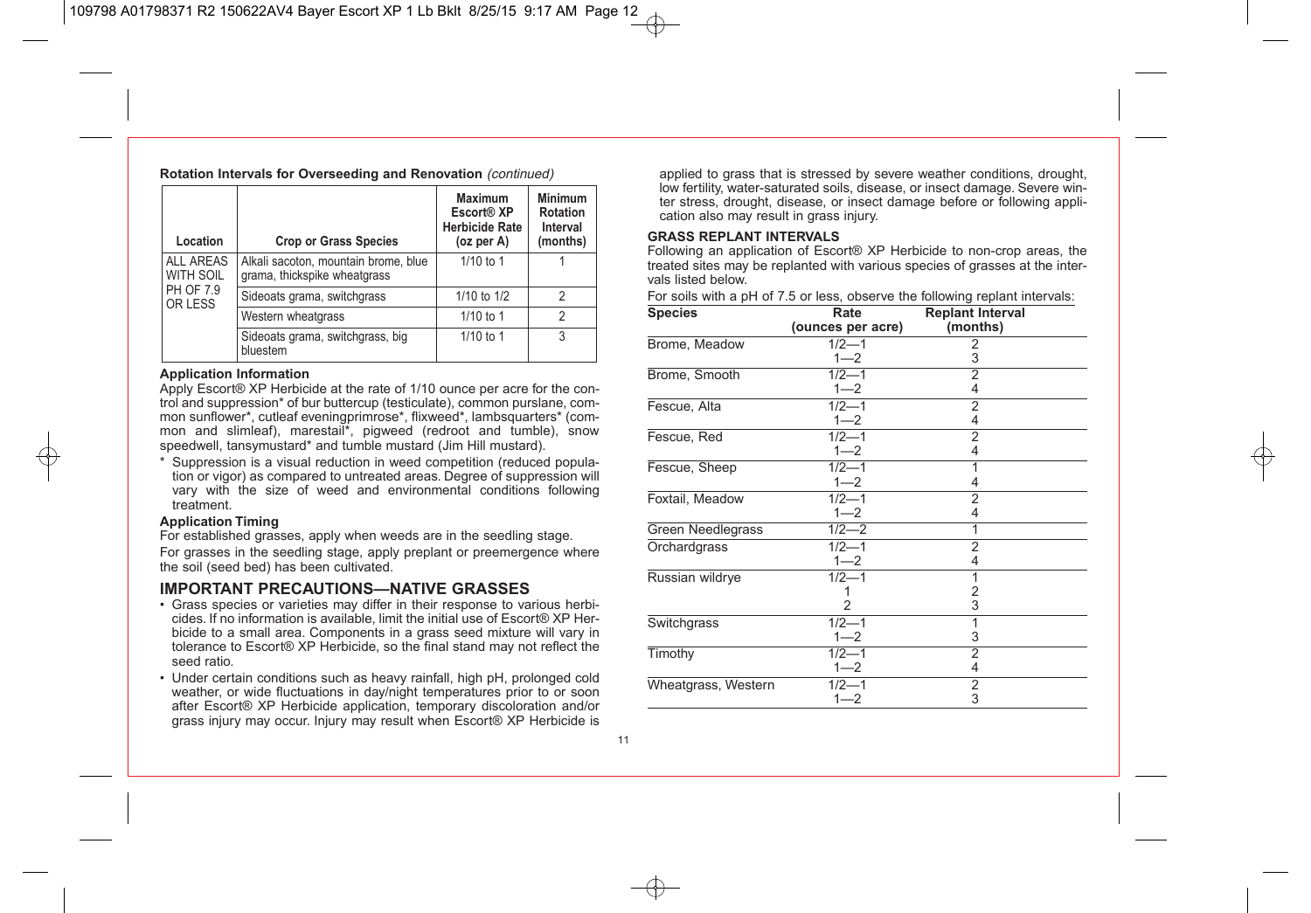**Rotation Intervals for Overseeding and Renovation** (continued)

| Location                      | <b>Crop or Grass Species</b>                                         | <b>Maximum</b><br>Escort <sup>®</sup> XP<br><b>Herbicide Rate</b><br>(oz per A) | <b>Minimum</b><br>Rotation<br>Interval<br>(months) |
|-------------------------------|----------------------------------------------------------------------|---------------------------------------------------------------------------------|----------------------------------------------------|
| <b>ALL AREAS</b><br>WITH SOIL | Alkali sacoton, mountain brome, blue<br>grama, thickspike wheatgrass | $1/10$ to 1                                                                     |                                                    |
| PH OF 7.9<br>OR LESS          | Sideoats grama, switchgrass                                          | 1/10 to 1/2                                                                     | 2                                                  |
|                               | Western wheatgrass                                                   | 1/10 to 1                                                                       | 2                                                  |
|                               | Sideoats grama, switchgrass, big<br>bluestem                         | $1/10$ to 1                                                                     | 3                                                  |

#### **Application Information**

Apply Escort® XP Herbicide at the rate of 1/10 ounce per acre for the control and suppression\* of bur buttercup (testiculate), common purslane, common sunflower\*, cutleaf eveningprimrose\*, flixweed\*, lambsquarters\* (common and slimleaf), marestail<sup>\*</sup>, pigweed (redroot and tumble), snow speedwell, tansymustard\* and tumble mustard (Jim Hill mustard).

\* Suppression is a visual reduction in weed competition (reduced population or vigor) as compared to untreated areas. Degree of suppression will vary with the size of weed and environmental conditions following treatment.

#### **Application Timing**

For established grasses, apply when weeds are in the seedling stage.

For grasses in the seedling stage, apply preplant or preemergence where the soil (seed bed) has been cultivated.

### **IMPORTANT PRECAUTIONS—NATIVE GRASSES**

- Grass species or varieties may differ in their response to various herbicides. If no information is available, limit the initial use of Escort® XP Herbicide to a small area. Components in a grass seed mixture will vary in tolerance to Escort® XP Herbicide, so the final stand may not reflect the seed ratio.
- Under certain conditions such as heavy rainfall, high pH, prolonged cold weather, or wide fluctuations in day/night temperatures prior to or soon after Escort® XP Herbicide application, temporary discoloration and/or grass injury may occur. Injury may result when Escort® XP Herbicide is

applied to grass that is stressed by severe weather conditions, drought, low fertility, water-saturated soils, disease, or insect damage. Severe winter stress, drought, disease, or insect damage before or following application also may result in grass injury.

#### **GRASS REPLANT INTERVALS**

Following an application of Escort® XP Herbicide to non-crop areas, the treated sites may be replanted with various species of grasses at the intervals listed below.

For soils with a pH of 7.5 or less, observe the following replant intervals:

| <b>Species</b>      | Rate              | <b>Replant Interval</b> |  |
|---------------------|-------------------|-------------------------|--|
|                     | (ounces per acre) | (months)                |  |
| Brome, Meadow       | $1/2 - 1$         | 2                       |  |
|                     | $1 - 2$           | 3                       |  |
| Brome, Smooth       | $1/2 - 1$         | $\overline{2}$          |  |
|                     | $1 - 2$           | 4                       |  |
| Fescue, Alta        | $1/2 - 1$         | $\overline{2}$          |  |
|                     | $1 - 2$           | 4                       |  |
| Fescue, Red         | $1/2 - 1$         | 2                       |  |
|                     | $1 - 2$           | 4                       |  |
| Fescue, Sheep       | $1/2 - 1$         | 1                       |  |
|                     | $1 - 2$           | 4                       |  |
| Foxtail, Meadow     | $1/2 - 1$         | $\overline{2}$          |  |
|                     | $1 - 2$           | 4                       |  |
| Green Needlegrass   | $1/2 - 2$         | 1                       |  |
| Orchardgrass        | $1/2 - 1$         | $\overline{2}$          |  |
|                     | $1 - 2$           | 4                       |  |
| Russian wildrye     | $1/2 - 1$         | 1                       |  |
|                     | 1                 | $\frac{2}{3}$           |  |
|                     | $\overline{2}$    |                         |  |
| Switchgrass         | $1/2 - 1$         | 1                       |  |
|                     | $1 - 2$           | 3                       |  |
| Timothy             | $1/2 - 1$         | $\overline{2}$          |  |
|                     | $1 - 2$           | 4                       |  |
| Wheatgrass, Western | $1/2 - 1$         | $\overline{2}$          |  |
|                     | $1 - 2$           | 3                       |  |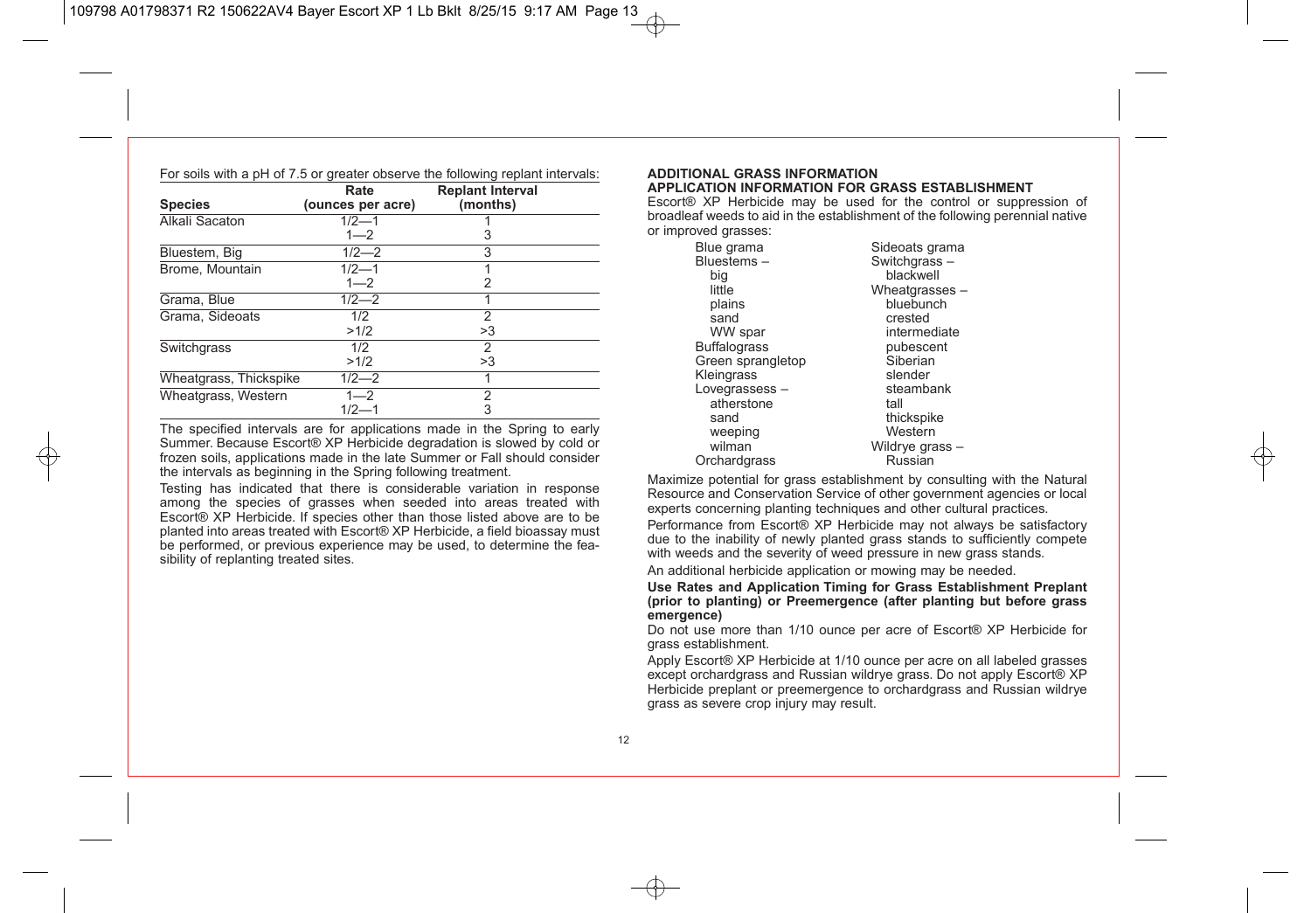|                        | Rate              | <b>Replant Interval</b> |  |
|------------------------|-------------------|-------------------------|--|
| <b>Species</b>         | (ounces per acre) | (months)                |  |
| Alkali Sacaton         | $1/2 - 1$         |                         |  |
|                        | $1 - 2$           | 3                       |  |
| Bluestem, Big          | $1/2 - 2$         | 3                       |  |
| Brome, Mountain        | $1/2 - 1$         |                         |  |
|                        | $1 - 2$           | 2                       |  |
| Grama, Blue            | $1/2 - 2$         | 4                       |  |
| Grama, Sideoats        | 1/2               | $\mathfrak{p}$          |  |
|                        | >1/2              | >3                      |  |
| Switchgrass            | 1/2               | 2                       |  |
|                        | >1/2              | >3                      |  |
| Wheatgrass, Thickspike | $1/2 - 2$         |                         |  |
| Wheatgrass, Western    | $1 - 2$           | 2                       |  |
|                        | $1/2 - 1$         | 3                       |  |

The specified intervals are for applications made in the Spring to early Summer. Because Escort® XP Herbicide degradation is slowed by cold or frozen soils, applications made in the late Summer or Fall should consider the intervals as beginning in the Spring following treatment.

Testing has indicated that there is considerable variation in response among the species of grasses when seeded into areas treated with Escort® XP Herbicide. If species other than those listed above are to be planted into areas treated with Escort® XP Herbicide, a field bioassay must be performed, or previous experience may be used, to determine the feasibility of replanting treated sites.

#### **ADDITIONAL GRASS INFORMATION APPLICATION INFORMATION FOR GRASS ESTABLISHMENT**

Escort® XP Herbicide may be used for the control or suppression of broadleaf weeds to aid in the establishment of the following perennial native or improved grasses:

| Blue grama          | Sideoats grama  |
|---------------------|-----------------|
| Bluestems-          | Switchgrass-    |
| big                 | blackwell       |
| little              | Wheatgrasses -  |
| plains              | bluebunch       |
| sand                | crested         |
| WW spar             | intermediate    |
| <b>Buffalograss</b> | pubescent       |
| Green sprangletop   | Siberian        |
| Kleingrass          | slender         |
| Lovegrassess-       | steambank       |
| atherstone          | tall            |
| sand                | thickspike      |
| weeping             | Western         |
| wilman              | Wildrye grass - |
| Orchardgrass        | Russian         |

Maximize potential for grass establishment by consulting with the Natural Resource and Conservation Service of other government agencies or local experts concerning planting techniques and other cultural practices.

Performance from Escort® XP Herbicide may not always be satisfactory due to the inability of newly planted grass stands to sufficiently compete with weeds and the severity of weed pressure in new grass stands.

An additional herbicide application or mowing may be needed.

**Use Rates and Application Timing for Grass Establishment Preplant (prior to planting) or Preemergence (after planting but before grass emergence)**

Do not use more than 1/10 ounce per acre of Escort® XP Herbicide for grass establishment.

Apply Escort® XP Herbicide at 1/10 ounce per acre on all labeled grasses except orchardgrass and Russian wildrye grass. Do not apply Escort® XP Herbicide preplant or preemergence to orchardgrass and Russian wildrve grass as severe crop injury may result.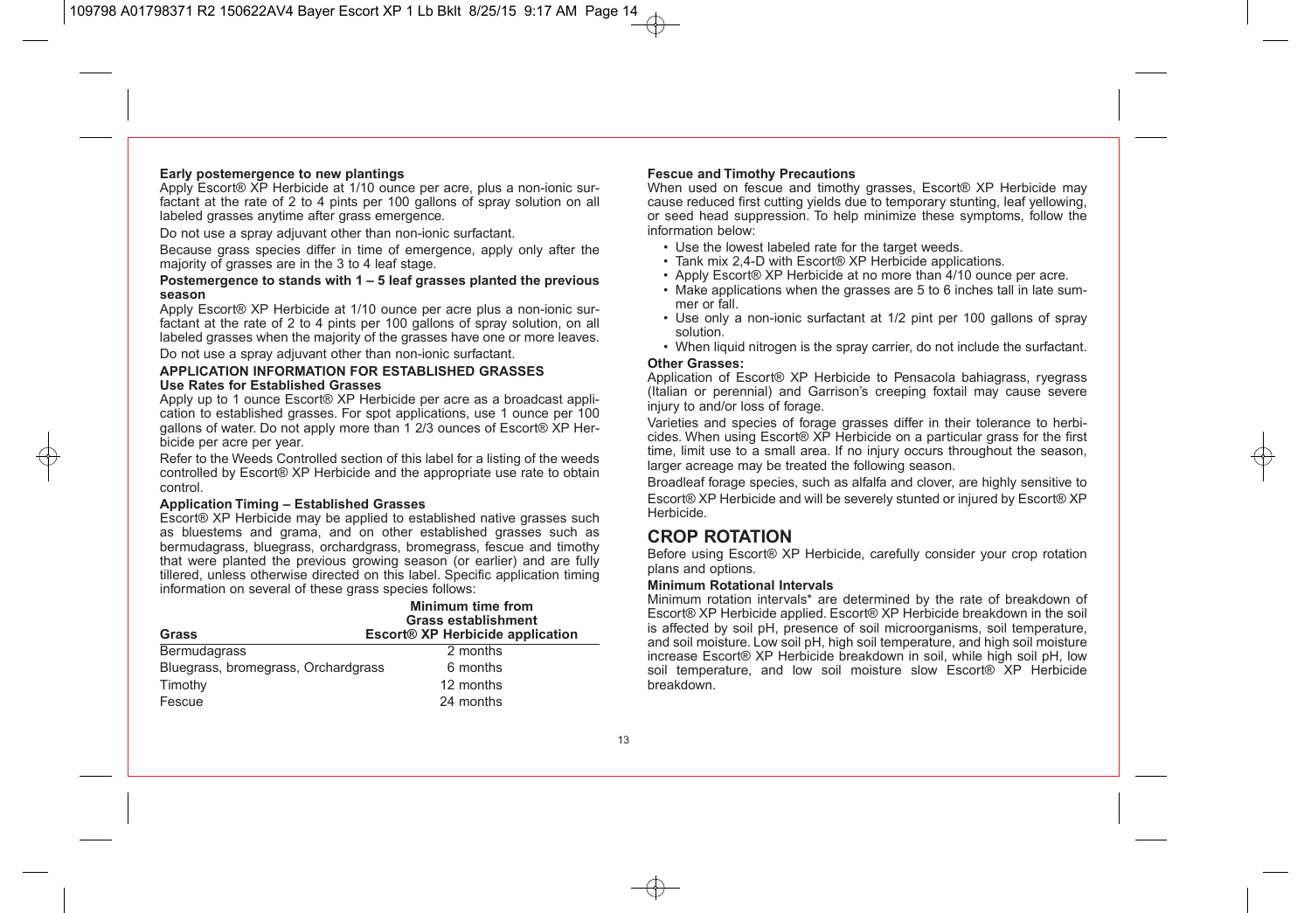#### **Early postemergence to new plantings**

Apply Escort® XP Herbicide at 1/10 ounce per acre, plus a non-ionic surfactant at the rate of 2 to 4 pints per 100 gallons of spray solution on all labeled grasses anytime after grass emergence.

Do not use a spray adjuvant other than non-ionic surfactant.

Because grass species differ in time of emergence, apply only after the majority of grasses are in the 3 to 4 leaf stage.

#### **Postemergence to stands with 1 – 5 leaf grasses planted the previous season**

Apply Escort® XP Herbicide at 1/10 ounce per acre plus a non-ionic surfactant at the rate of 2 to 4 pints per 100 gallons of spray solution, on all labeled grasses when the majority of the grasses have one or more leaves. Do not use a spray adjuvant other than non-ionic surfactant.

#### **APPLICATION INFORMATION FOR ESTABLISHED GRASSES Use Rates for Established Grasses**

Apply up to 1 ounce Escort® XP Herbicide per acre as a broadcast application to established grasses. For spot applications, use 1 ounce per 100 gallons of water. Do not apply more than 1 2/3 ounces of Escort® XP Herbicide per acre per year.

Refer to the Weeds Controlled section of this label for a listing of the weeds controlled by Escort® XP Herbicide and the appropriate use rate to obtain control.

#### **Application Timing – Established Grasses**

Escort® XP Herbicide may be applied to established native grasses such as bluestems and grama, and on other established grasses such as bermudagrass, bluegrass, orchardgrass, bromegrass, fescue and timothy that were planted the previous growing season (or earlier) and are fully tillered, unless otherwise directed on this label. Specific application timing information on several of these grass species follows:

|                                     | <b>Minimum time from</b><br><b>Grass establishment</b> |
|-------------------------------------|--------------------------------------------------------|
| Grass                               | Escort <sup>®</sup> XP Herbicide application           |
| Bermudagrass                        | 2 months                                               |
| Bluegrass, bromegrass, Orchardgrass | 6 months                                               |
| Timothy                             | 12 months                                              |
| Fescue                              | 24 months                                              |

#### **Fescue and Timothy Precautions**

When used on fescue and timothy grasses. Escort<sup>®</sup> XP Herbicide may cause reduced first cutting yields due to temporary stunting, leaf yellowing, or seed head suppression. To help minimize these symptoms, follow the information below:

- Use the lowest labeled rate for the target weeds.
- Tank mix 2,4-D with Escort® XP Herbicide applications.
- Apply Escort® XP Herbicide at no more than 4/10 ounce per acre.
- Make applications when the grasses are 5 to 6 inches tall in late summer or fall.
- Use only a non-ionic surfactant at 1/2 pint per 100 gallons of spray solution.
- When liquid nitrogen is the spray carrier, do not include the surfactant.

#### **Other Grasses:**

Application of Escort® XP Herbicide to Pensacola bahiagrass, ryegrass (Italian or perennial) and Garrison's creeping foxtail may cause severe injury to and/or loss of forage.

Varieties and species of forage grasses differ in their tolerance to herbicides. When using Escort® XP Herbicide on a particular grass for the first time, limit use to a small area. If no injury occurs throughout the season, larger acreage may be treated the following season.

Broadleaf forage species, such as alfalfa and clover, are highly sensitive to Escort® XP Herbicide and will be severely stunted or injured by Escort® XP Herbicide.

### **CROP ROTATION**

Before using Escort® XP Herbicide, carefully consider your crop rotation plans and options.

#### **Minimum Rotational Intervals**

Minimum rotation intervals\* are determined by the rate of breakdown of Escort® XP Herbicide applied. Escort® XP Herbicide breakdown in the soil is affected by soil pH, presence of soil microorganisms, soil temperature, and soil moisture. Low soil pH, high soil temperature, and high soil moisture increase Escort® XP Herbicide breakdown in soil, while high soil pH, low soil temperature, and low soil moisture slow Escort® XP Herbicide breakdown.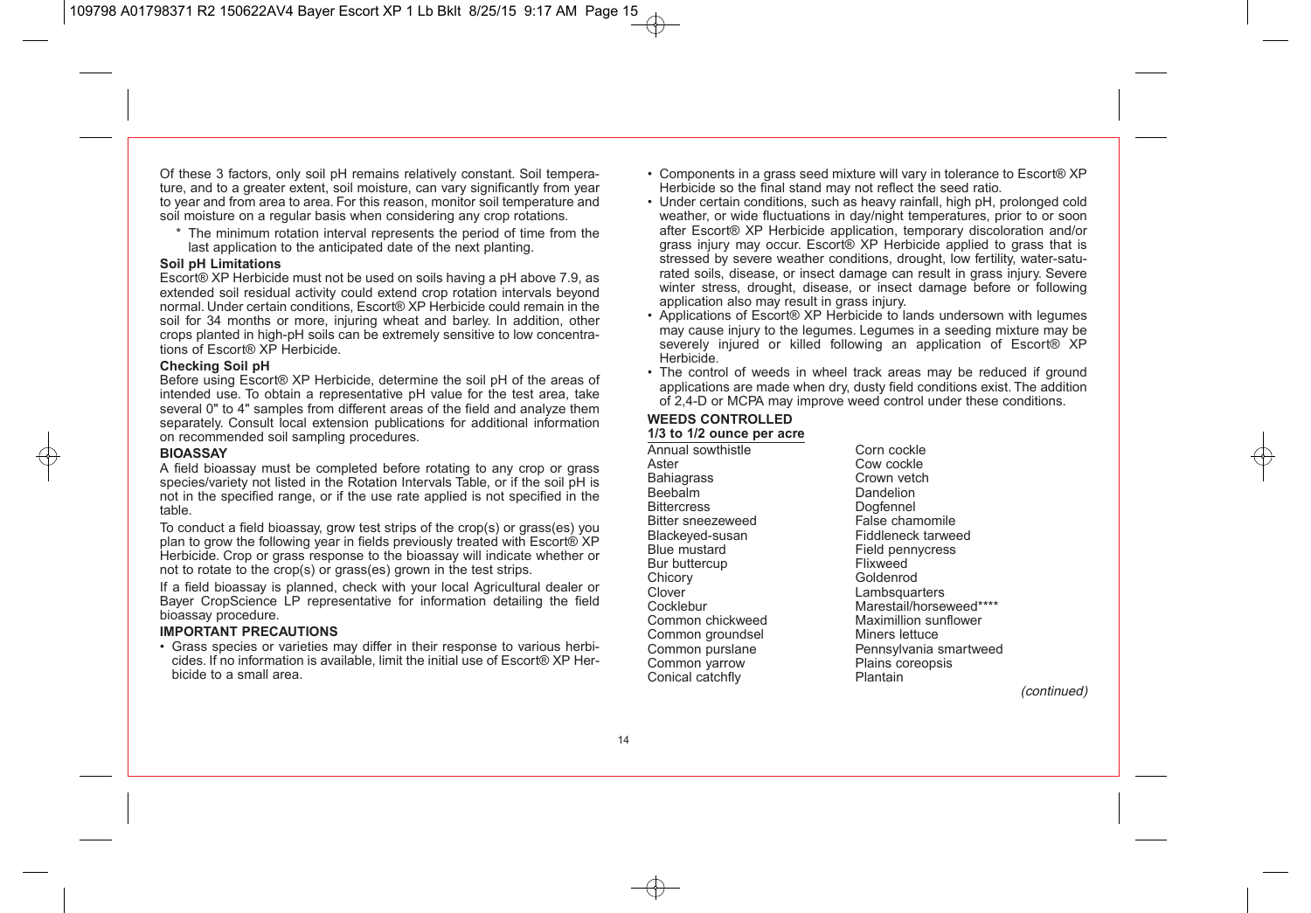Of these 3 factors, only soil pH remains relatively constant. Soil temperature, and to a greater extent, soil moisture, can vary significantly from year to year and from area to area. For this reason, monitor soil temperature and soil moisture on a regular basis when considering any crop rotations.

\* The minimum rotation interval represents the period of time from the last application to the anticipated date of the next planting.

#### **Soil pH Limitations**

Escort® XP Herbicide must not be used on soils having a pH above 7.9, as extended soil residual activity could extend crop rotation intervals beyond normal. Under certain conditions, Escort® XP Herbicide could remain in the soil for 34 months or more, injuring wheat and barley. In addition, other crops planted in high-pH soils can be extremely sensitive to low concentrations of Escort® XP Herbicide.

#### **Checking Soil pH**

Before using Escort® XP Herbicide, determine the soil pH of the areas of intended use. To obtain a representative pH value for the test area, take several 0" to 4" samples from different areas of the field and analyze them separately. Consult local extension publications for additional information on recommended soil sampling procedures.

#### **BIOASSAY**

A field bioassay must be completed before rotating to any crop or grass species/variety not listed in the Rotation Intervals Table, or if the soil pH is not in the specified range, or if the use rate applied is not specified in the table.

To conduct a field bioassay, grow test strips of the crop(s) or grass(es) you plan to grow the following year in fields previously treated with Escort® XP Herbicide. Crop or grass response to the bioassay will indicate whether or not to rotate to the crop(s) or grass(es) grown in the test strips.

If a field bioassay is planned, check with your local Agricultural dealer or Bayer CropScience LP representative for information detailing the field bioassay procedure.

#### **IMPORTANT PRECAUTIONS**

• Grass species or varieties may differ in their response to various herbicides. If no information is available, limit the initial use of Escort® XP Herbicide to a small area.

- Components in a grass seed mixture will vary in tolerance to Escort® XP Herbicide so the final stand may not reflect the seed ratio.
- Under certain conditions, such as heavy rainfall, high pH, prolonged cold weather, or wide fluctuations in day/night temperatures, prior to or soon after Escort® XP Herbicide application, temporary discoloration and/or grass injury may occur. Escort® XP Herbicide applied to grass that is stressed by severe weather conditions, drought, low fertility, water-saturated soils, disease, or insect damage can result in grass injury. Severe winter stress, drought, disease, or insect damage before or following application also may result in grass injury.
- Applications of Escort® XP Herbicide to lands undersown with legumes may cause injury to the legumes. Legumes in a seeding mixture may be severely injured or killed following an application of Escort<sup>®</sup> XP Herbicide.
- The control of weeds in wheel track areas may be reduced if ground applications are made when dry, dusty field conditions exist. The addition of 2,4-D or MCPA may improve weed control under these conditions.

### **WEEDS CONTROLLED**

#### **1/3 to 1/2 ounce per acre**

Annual sowthistle Corn cockle<br>Aster Cow cockle Bahiagrass<br>Beehalm Beebalm **Dandelion**<br>Bittercress **Doofennel** Bitter sneezeweed<br>Blackeved-susan Blackeyed-susan Fiddleneck tarweed<br>Blue mustard Field pennycress Bur buttercup<br>Chicory Chicory Goldenrod<br>Clover Clover Lambsquar Clover Lambsquarters<br>Cocklebur Cocklebur Marestail/horse Cocklebur Marestail/horseweed\*\*\*\*<br>
Common chickweed Maximillion sunflower Common groundsel<br>Common purslane Common yarrow Plains contract Plains contract Plants Plants Contract Plants Controller<br>
Plants Plants Plants Plants Plants Plants Plants Plants Plants Plants Plants Plants Plants Plants Plants Plants Plants Plants Plants P Conical catchfly

Cow cockle<br>Crown vetch Dogfennel<br>False chamomile Field pennycress<br>Flixweed Maximillion sunflower<br>Miners lettuce Pennsylvania smartweed<br>Plains coreopsis

(continued)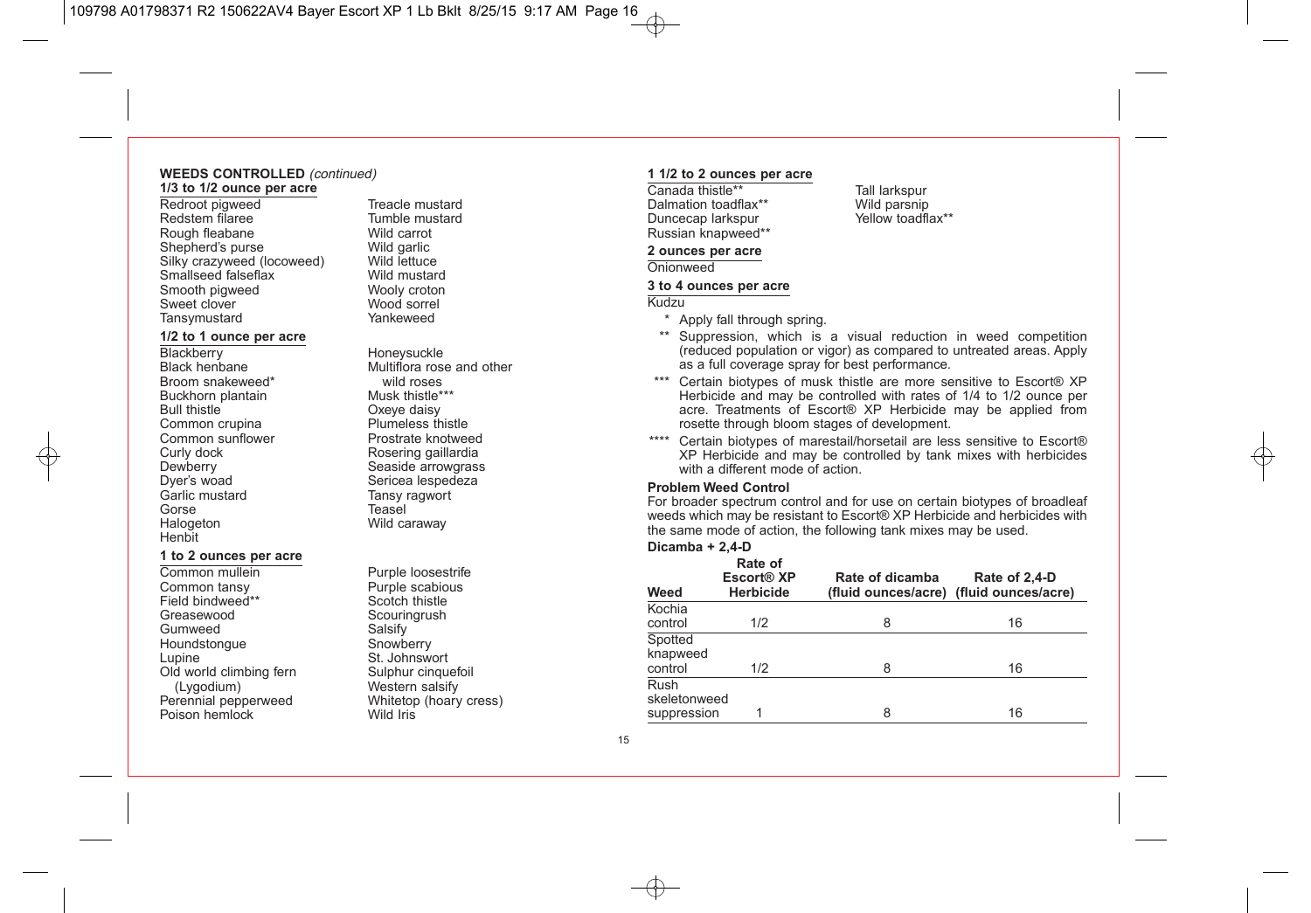#### **WEEDS CONTROLLED** (continued) **1/3 to 1/2 ounce per acre**

Redroot pigweed Treacle mustard<br>Redstem filaree Tumble mustard Rough fleabane Wild carrot<br>
Shepherd's purse Wild garlic Shepherd's purse Wild garlic<br>Silky crazyweed (locoweed) Wild lettuce Silky crazyweed (locoweed) Wild lettuce<br>
Smallseed falseflax Wild mustard Smallseed falseflax Wild mustard<br>
Smooth piqweed Wooly croton Smooth pigweed Wooly croton<br>
Sweet clover<br>
Wood sorrel Sweet clover Mood sorrel<br>Tansymustard Mankeweed Tansymustard

## **1/2 to 1 ounce per acre**

Blackberry Honeysuckle<br>Black henbane Multiflora rose Broom snakeweed\* wild roses<br>Buckhorn plantain Musk thistle\*\*\* Buckhorn plantain<br>Bull thistle Common crupina **Plumeless thistle**<br>
Common sunflower **Prostrate knotweed** Common sunflower<br>Curly dock Curly dock and Rosering gaillardia<br>
Dewberry Chesside arrowgrass Dyer's woad Sericea lespedeza<br>
Seric mustard<br>
Santic mustard<br>
Santic Tansy ragwort Garlic mustard Tansy ragwort<br>Gorse Teasel Gorse **Teasel** Halogeton Wild caraway Henbit

#### **1 to 2 ounces per acre**

Common mullein Furple loosestrife<br>Common tansy Furple scabious Common tansy **Purple scabio**<br>Field bindweed\*\* **Contains Scotch thistle** Field bindweed\*\*<br>Greasewood Gumweed Salsify<br>
Houndstonaue Snowberry Houndstongue Lupine Communist Cupine St. Johnswort<br>Cld world climbing fern Sulphur cinquefoil Old world climbing fern<br>(Lygodium) (Lygodium) Western salsify<br>
Perennial pepperweed Whitetop (hoary Poison hemlock

Tumble mustard<br>Wild carrot

Multiflora rose and other<br>wild roses Oxeye daisy<br>Plumeless thistle Seaside arrowgrass

Scouringrush<br>Salsify Whitetop (hoary cress)<br>Wild Iris

#### **1 1/2 to 2 ounces per acre**

Canada thistle\*\* Tall larkspur<br>Dalmation toadflax\*\* Wild parsnip Dalmation toadflax\*\* Wild parsnip<br>Duncecap larkspur Mellow toadflax\*\* Duncecap larkspur Russian knapweed\*\*

#### **2 ounces per acre**

Onionweed

#### **3 to 4 ounces per acre**

#### Kudzu

\* Apply fall through spring.

- \*\* Suppression, which is a visual reduction in weed competition (reduced population or vigor) as compared to untreated areas. Apply as a full coverage spray for best performance.
- \*\*\* Certain biotypes of musk thistle are more sensitive to Escort® XP Herbicide and may be controlled with rates of 1/4 to 1/2 ounce per acre. Treatments of Escort® XP Herbicide may be applied from rosette through bloom stages of development.
- \*\*\*\* Certain biotypes of marestail/horsetail are less sensitive to Escort® XP Herbicide and may be controlled by tank mixes with herbicides with a different mode of action

#### **Problem Weed Control**

For broader spectrum control and for use on certain biotypes of broadleaf weeds which may be resistant to Escort® XP Herbicide and herbicides with the same mode of action, the following tank mixes may be used.

#### **Dicamba + 2,4-D**

| Weed                                       | Rate of<br>Escort <sup>®</sup> XP<br><b>Herbicide</b> | Rate of dicamba | Rate of 2,4-D<br>(fluid ounces/acre) (fluid ounces/acre) |
|--------------------------------------------|-------------------------------------------------------|-----------------|----------------------------------------------------------|
| Kochia<br>control                          | 1/2                                                   | 8               | 16                                                       |
| Spotted<br>knapweed<br>control             | 1/2                                                   | 8               | 16                                                       |
| <b>Rush</b><br>skeletonweed<br>suppression |                                                       | 8               | 16                                                       |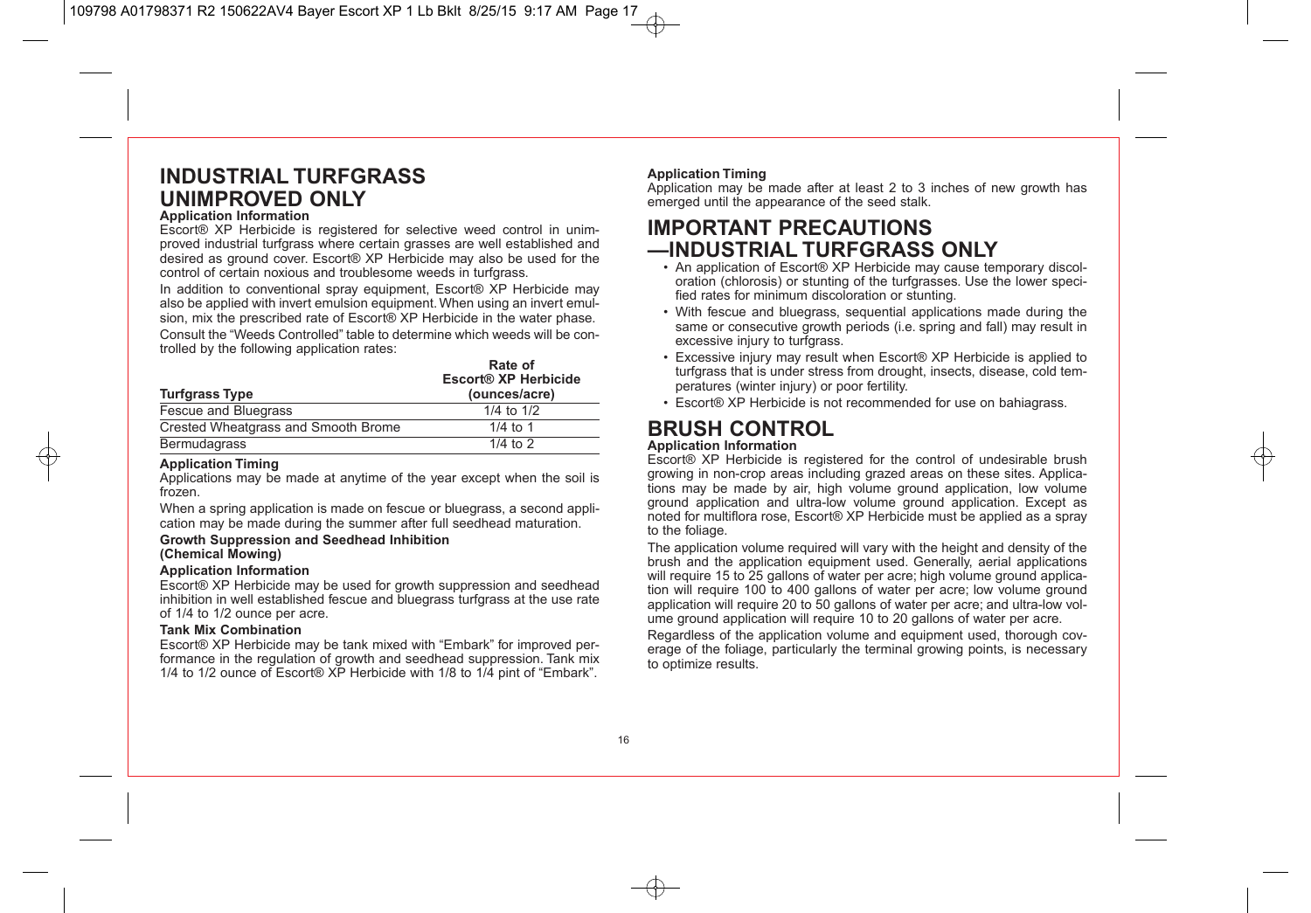## **INDUSTRIAL TURFGRASS UNIMPROVED ONLY**

#### **Application Information**

Escort® XP Herbicide is registered for selective weed control in unimproved industrial turfgrass where certain grasses are well established and desired as ground cover. Escort® XP Herbicide may also be used for the control of certain noxious and troublesome weeds in turfgrass.

In addition to conventional spray equipment, Escort® XP Herbicide may also be applied with invert emulsion equipment. When using an invert emulsion, mix the prescribed rate of Escort® XP Herbicide in the water phase.

Consult the "Weeds Controlled" table to determine which weeds will be controlled by the following application rates:

| <b>Turfgrass Type</b>               | Rate of<br>Escort® XP Herbicide<br>(ounces/acre) |
|-------------------------------------|--------------------------------------------------|
| Fescue and Bluegrass                | 1/4 to $1/2$                                     |
| Crested Wheatgrass and Smooth Brome | $1/4$ to 1                                       |
| <b>Bermudagrass</b>                 | $1/4$ to $2$                                     |

#### **Application Timing**

Applications may be made at anytime of the year except when the soil is frozen.

When a spring application is made on fescue or bluegrass, a second application may be made during the summer after full seedhead maturation.

#### **Growth Suppression and Seedhead Inhibition (Chemical Mowing)**

#### **Application Information**

Escort® XP Herbicide may be used for growth suppression and seedhead inhibition in well established fescue and bluegrass turfgrass at the use rate of 1/4 to 1/2 ounce per acre.

#### **Tank Mix Combination**

Escort® XP Herbicide may be tank mixed with "Embark" for improved performance in the regulation of growth and seedhead suppression. Tank mix 1/4 to 1/2 ounce of Escort® XP Herbicide with 1/8 to 1/4 pint of "Embark".

#### **Application Timing**

Application may be made after at least 2 to 3 inches of new growth has emerged until the appearance of the seed stalk.

## **IMPORTANT PRECAUTIONS —INDUSTRIAL TURFGRASS ONLY**

- An application of Escort® XP Herbicide may cause temporary discoloration (chlorosis) or stunting of the turfgrasses. Use the lower specified rates for minimum discoloration or stunting.
- With fescue and bluegrass, sequential applications made during the same or consecutive growth periods (i.e. spring and fall) may result in excessive injury to turfarass.
- Excessive injury may result when Escort® XP Herbicide is applied to turfgrass that is under stress from drought, insects, disease, cold temperatures (winter injury) or poor fertility.
- Escort® XP Herbicide is not recommended for use on bahiagrass.

## **BRUSH CONTROL**

#### **Application Information**

Escort® XP Herbicide is registered for the control of undesirable brush growing in non-crop areas including grazed areas on these sites. Applications may be made by air, high volume ground application, low volume ground application and ultra-low volume ground application. Except as noted for multiflora rose, Escort® XP Herbicide must be applied as a spray to the foliage.

The application volume required will vary with the height and density of the brush and the application equipment used. Generally, aerial applications will require 15 to 25 gallons of water per acre; high volume ground application will require 100 to 400 gallons of water per acre; low volume ground application will require 20 to 50 gallons of water per acre; and ultra-low volume ground application will require 10 to 20 gallons of water per acre.

Regardless of the application volume and equipment used, thorough coverage of the foliage, particularly the terminal growing points, is necessary to optimize results.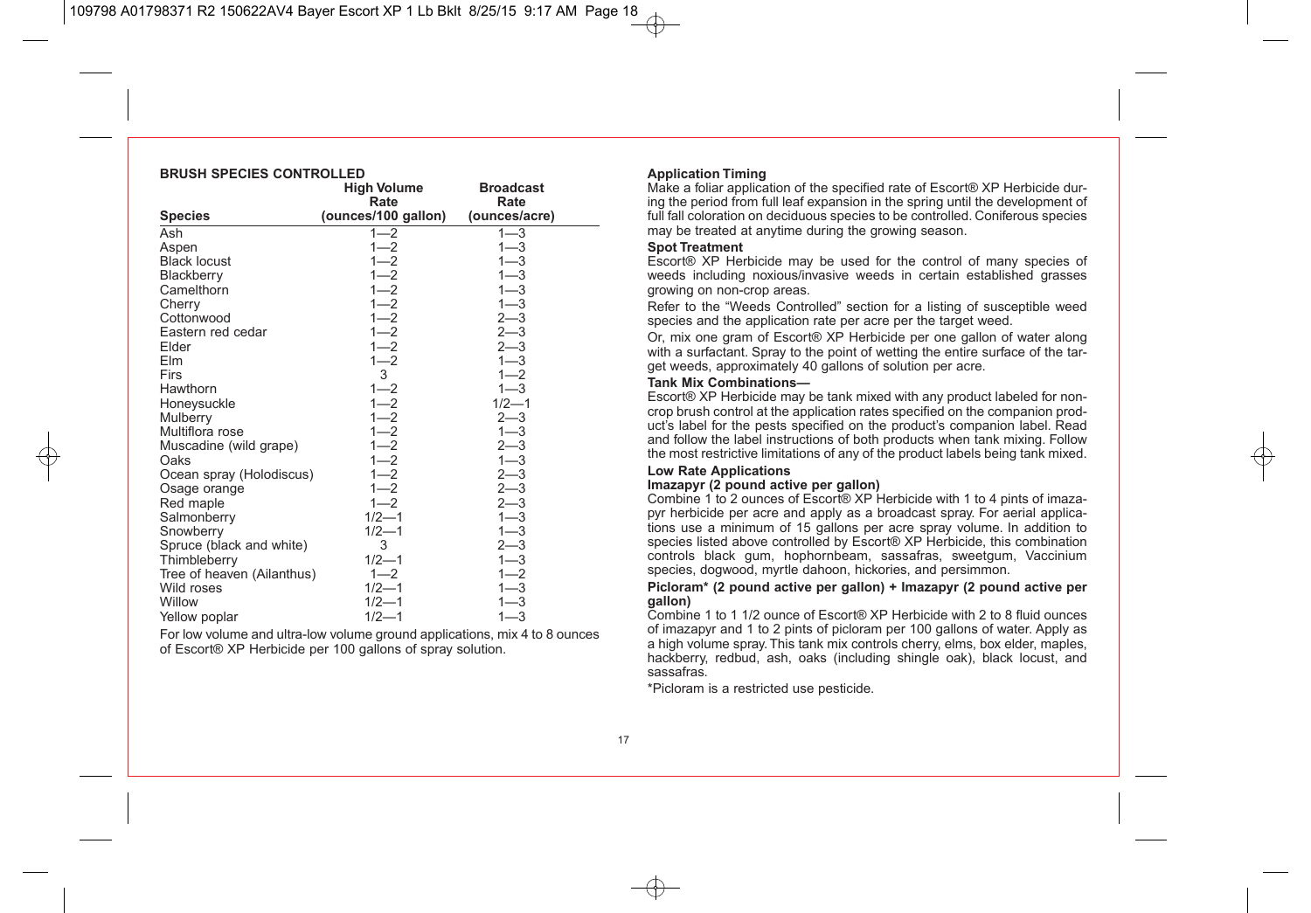| BRUSH SPEUIES UUN I RULLED |                     |                  |  |  |
|----------------------------|---------------------|------------------|--|--|
|                            | <b>High Volume</b>  | <b>Broadcast</b> |  |  |
|                            | Rate                | Rate             |  |  |
| <b>Species</b>             | (ounces/100 gallon) | (ounces/acre)    |  |  |
| Ash                        | $1 - 2$             | $1 - 3$          |  |  |
| Aspen                      | $1 - 2$             | $1 - 3$          |  |  |
| <b>Black locust</b>        | $1 - 2$             | $1 - 3$          |  |  |
| Blackberry                 | $1 - 2$             | $1 - 3$          |  |  |
| Camelthorn                 | $1 - 2$             | $1 - 3$          |  |  |
| Cherry                     | $1 - 2$             | $1 - 3$          |  |  |
| Cottonwood                 | $1 - 2$             | $2 - 3$          |  |  |
| Eastern red cedar          | $1 - 2$             | $2 - 3$          |  |  |
| Elder                      | $1 - 2$             | $2 - 3$          |  |  |
| Elm                        | $1 - 2$             | $1 - 3$          |  |  |
| Firs                       | 3                   | $1 - 2$          |  |  |
| Hawthorn                   | $1 - 2$             | $1 - 3$          |  |  |
| Honeysuckle                | $1 - 2$             | $1/2 - 1$        |  |  |
| Mulberry                   | $1 - 2$             | $2 - 3$          |  |  |
| Multiflora rose            | $1 - 2$             | $1 - 3$          |  |  |
| Muscadine (wild grape)     | $1 - 2$             | $2 - 3$          |  |  |
| Oaks                       | $1 - 2$             | $1 - 3$          |  |  |
| Ocean spray (Holodiscus)   | $1 - 2$             | $2 - 3$          |  |  |
| Osage orange               | $1 - 2$             | $2 - 3$          |  |  |
| Red maple                  | $1 - 2$             | $2 - 3$          |  |  |
| Salmonberry                | $1/2 - 1$           | $1 - 3$          |  |  |
| Snowberry                  | $1/2 - 1$           | $1 - 3$          |  |  |
| Spruce (black and white)   | 3                   | $2 - 3$          |  |  |
| Thimbleberry               | $1/2 - 1$           | $1 - 3$          |  |  |
| Tree of heaven (Ailanthus) | $1 - 2$             | $1 - 2$          |  |  |
| Wild roses                 | $1/2 - 1$           | $1 - 3$          |  |  |
| Willow                     | $1/2 - 1$           | 1—3              |  |  |
| Yellow poplar              | $1/2 - 1$           | $1 - 3$          |  |  |

**BRUSH SPECIES CONTROLLED**

For low volume and ultra-low volume ground applications, mix 4 to 8 ounces of Escort® XP Herbicide per 100 gallons of spray solution.

#### **Application Timing**

Make a foliar application of the specified rate of Escort® XP Herbicide during the period from full leaf expansion in the spring until the development of full fall coloration on deciduous species to be controlled. Coniferous species may be treated at anytime during the growing season.

#### **Spot Treatment**

Escort® XP Herbicide may be used for the control of many species of weeds including noxious/invasive weeds in certain established grasses growing on non-crop areas.

Refer to the "Weeds Controlled" section for a listing of susceptible weed species and the application rate per acre per the target weed.

Or, mix one gram of Escort® XP Herbicide per one gallon of water along with a surfactant. Spray to the point of wetting the entire surface of the target weeds, approximately 40 gallons of solution per acre.

#### **Tank Mix Combinations—**

Escort® XP Herbicide may be tank mixed with any product labeled for noncrop brush control at the application rates specified on the companion product's label for the pests specified on the product's companion label. Read and follow the label instructions of both products when tank mixing. Follow the most restrictive limitations of any of the product labels being tank mixed.

#### **Low Rate Applications**

#### **Imazapyr (2 pound active per gallon)**

Combine 1 to 2 ounces of Escort® XP Herbicide with 1 to 4 pints of imazapyr herbicide per acre and apply as a broadcast spray. For aerial applications use a minimum of 15 gallons per acre spray volume. In addition to species listed above controlled by Escort® XP Herbicide, this combination controls black gum, hophornbeam, sassafras, sweetgum, Vaccinium species, dogwood, myrtle dahoon, hickories, and persimmon.

#### **Picloram\* (2 pound active per gallon) + Imazapyr (2 pound active per gallon)**

Combine 1 to 1 1/2 ounce of Escort® XP Herbicide with 2 to 8 fluid ounces of imazapyr and 1 to 2 pints of picloram per 100 gallons of water. Apply as a high volume spray. This tank mix controls cherry, elms, box elder, maples, hackberry, redbud, ash, oaks (including shingle oak), black locust, and sassafras.

\*Picloram is a restricted use pesticide.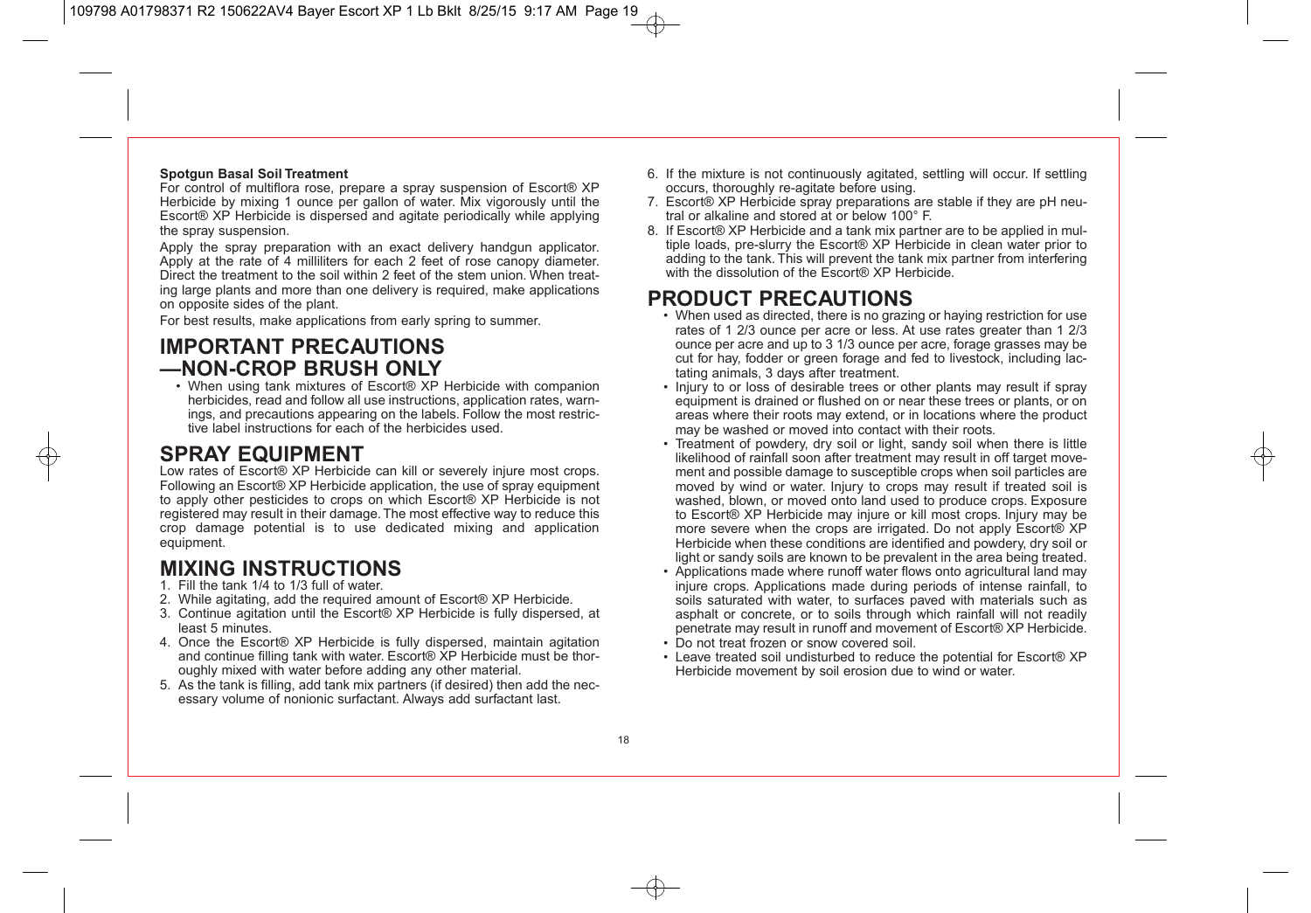#### **Spotgun Basal Soil Treatment**

For control of multiflora rose, prepare a spray suspension of Escort® XP Herbicide by mixing 1 ounce per gallon of water. Mix vigorously until the Escort® XP Herbicide is dispersed and agitate periodically while applying the spray suspension.

Apply the spray preparation with an exact delivery handgun applicator. Apply at the rate of 4 milliliters for each 2 feet of rose canopy diameter. Direct the treatment to the soil within 2 feet of the stem union. When treating large plants and more than one delivery is required, make applications on opposite sides of the plant.

For best results, make applications from early spring to summer.

## **IMPORTANT PRECAUTIONS —NON-CROP BRUSH ONLY**

• When using tank mixtures of Escort® XP Herbicide with companion herbicides, read and follow all use instructions, application rates, warnings, and precautions appearing on the labels. Follow the most restrictive label instructions for each of the herbicides used.

## **SPRAY EQUIPMENT**

Low rates of Escort® XP Herbicide can kill or severely injure most crops. Following an Escort® XP Herbicide application, the use of spray equipment to apply other pesticides to crops on which Escort® XP Herbicide is not registered may result in their damage. The most effective way to reduce this crop damage potential is to use dedicated mixing and application equipment.

## **MIXING INSTRUCTIONS**

- 1. Fill the tank 1/4 to 1/3 full of water.
- 2. While agitating, add the required amount of Escort® XP Herbicide.
- 3. Continue agitation until the Escort® XP Herbicide is fully dispersed, at least 5 minutes.
- 4. Once the Escort® XP Herbicide is fully dispersed, maintain agitation and continue filling tank with water. Escort® XP Herbicide must be thoroughly mixed with water before adding any other material.
- 5. As the tank is filling, add tank mix partners (if desired) then add the necessary volume of nonionic surfactant. Always add surfactant last.
- 6. If the mixture is not continuously agitated, settling will occur. If settling occurs, thoroughly re-agitate before using.
- 7. Escort® XP Herbicide spray preparations are stable if they are pH neutral or alkaline and stored at or below 100° F.
- 8. If Escort® XP Herbicide and a tank mix partner are to be applied in multiple loads, pre-slurry the Escort® XP Herbicide in clean water prior to adding to the tank. This will prevent the tank mix partner from interfering with the dissolution of the Escort® XP Herbicide.

## **PRODUCT PRECAUTIONS**

- When used as directed, there is no grazing or haying restriction for use rates of 1 2/3 ounce per acre or less. At use rates greater than 1 2/3 ounce per acre and up to 3 1/3 ounce per acre, forage grasses may be cut for hay, fodder or green forage and fed to livestock, including lactating animals, 3 days after treatment.
- Injury to or loss of desirable trees or other plants may result if spray equipment is drained or flushed on or near these trees or plants, or on areas where their roots may extend, or in locations where the product may be washed or moved into contact with their roots.
- Treatment of powdery, dry soil or light, sandy soil when there is little likelihood of rainfall soon after treatment may result in off target movement and possible damage to susceptible crops when soil particles are moved by wind or water. Injury to crops may result if treated soil is washed, blown, or moved onto land used to produce crops. Exposure to Escort® XP Herbicide may injure or kill most crops. Injury may be more severe when the crops are irrigated. Do not apply Escort® XP Herbicide when these conditions are identified and powdery, dry soil or light or sandy soils are known to be prevalent in the area being treated.
- Applications made where runoff water flows onto agricultural land may injure crops. Applications made during periods of intense rainfall, to soils saturated with water, to surfaces paved with materials such as asphalt or concrete, or to soils through which rainfall will not readily penetrate may result in runoff and movement of Escort® XP Herbicide.
- Do not treat frozen or snow covered soil.
- Leave treated soil undisturbed to reduce the potential for Escort® XP Herbicide movement by soil erosion due to wind or water.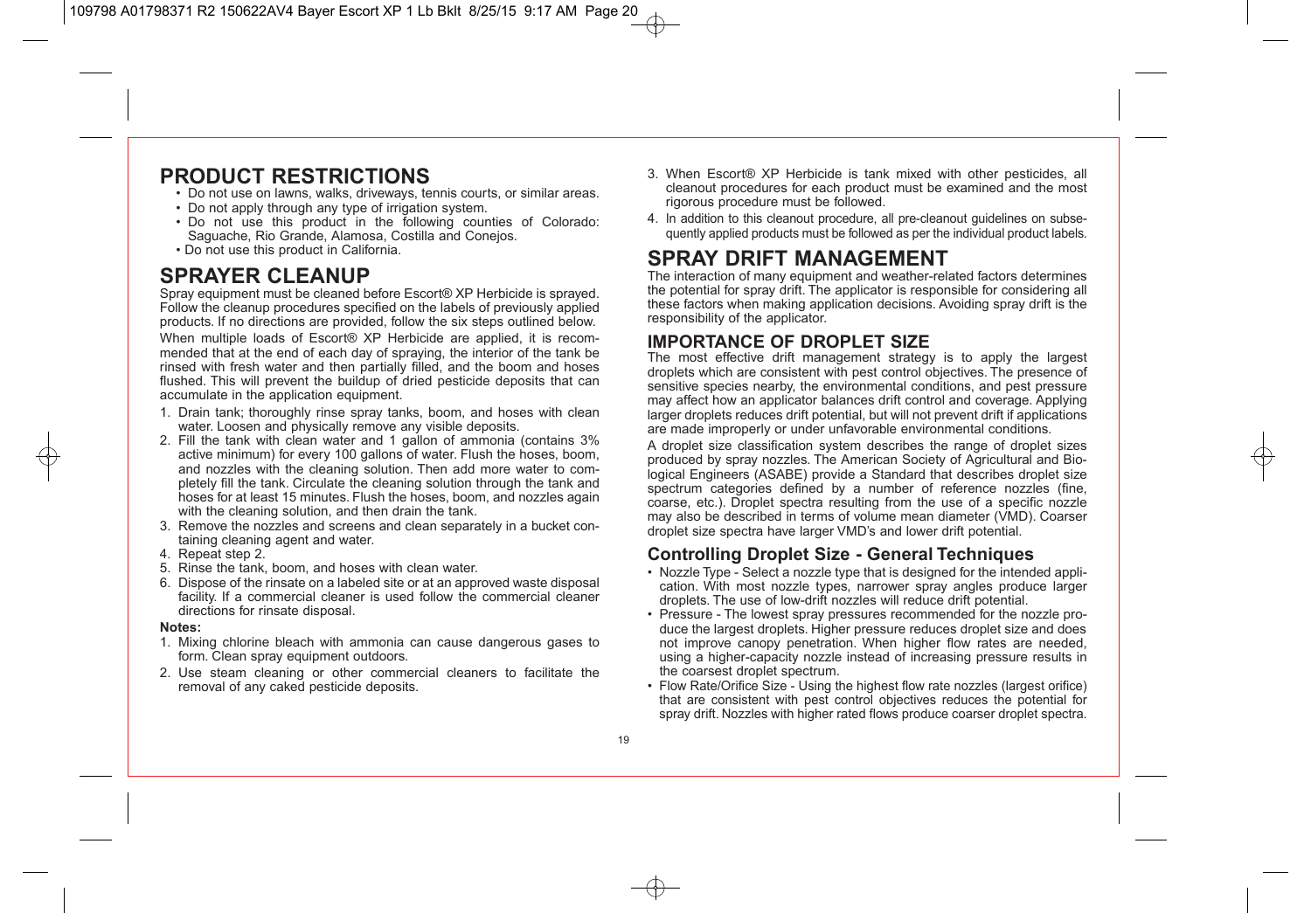## **PRODUCT RESTRICTIONS**

- Do not use on lawns, walks, driveways, tennis courts, or similar areas.
- Do not apply through any type of irrigation system.
- Do not use this product in the following counties of Colorado: Saguache, Rio Grande, Alamosa, Costilla and Conejos.
- Do not use this product in California.

## **SPRAYER CLEANUP**

Spray equipment must be cleaned before Escort® XP Herbicide is sprayed. Follow the cleanup procedures specified on the labels of previously applied products. If no directions are provided, follow the six steps outlined below. When multiple loads of Escort® XP Herbicide are applied, it is recommended that at the end of each day of spraying, the interior of the tank be rinsed with fresh water and then partially filled, and the boom and hoses flushed. This will prevent the buildup of dried pesticide deposits that can accumulate in the application equipment.

- 1. Drain tank; thoroughly rinse spray tanks, boom, and hoses with clean water. Loosen and physically remove any visible deposits.
- 2. Fill the tank with clean water and 1 gallon of ammonia (contains 3% active minimum) for every 100 gallons of water. Flush the hoses, boom, and nozzles with the cleaning solution. Then add more water to completely fill the tank. Circulate the cleaning solution through the tank and hoses for at least 15 minutes. Flush the hoses, boom, and nozzles again with the cleaning solution, and then drain the tank.
- 3. Remove the nozzles and screens and clean separately in a bucket containing cleaning agent and water.
- 4. Repeat step 2.
- 5. Rinse the tank, boom, and hoses with clean water.
- 6. Dispose of the rinsate on a labeled site or at an approved waste disposal facility. If a commercial cleaner is used follow the commercial cleaner directions for rinsate disposal.

#### **Notes:**

- 1. Mixing chlorine bleach with ammonia can cause dangerous gases to form. Clean spray equipment outdoors.
- 2. Use steam cleaning or other commercial cleaners to facilitate the removal of any caked pesticide deposits.
- 3. When Escort® XP Herbicide is tank mixed with other pesticides, all cleanout procedures for each product must be examined and the most rigorous procedure must be followed.
- 4. In addition to this cleanout procedure, all pre-cleanout guidelines on subsequently applied products must be followed as per the individual product labels.

## **SPRAY DRIFT MANAGEMENT**

The interaction of many equipment and weather-related factors determines the potential for spray drift. The applicator is responsible for considering all these factors when making application decisions. Avoiding spray drift is the responsibility of the applicator.

### **IMPORTANCE OF DROPLET SIZE**

The most effective drift management strategy is to apply the largest droplets which are consistent with pest control objectives. The presence of sensitive species nearby, the environmental conditions, and pest pressure may affect how an applicator balances drift control and coverage. Applying larger droplets reduces drift potential, but will not prevent drift if applications are made improperly or under unfavorable environmental conditions.

A droplet size classification system describes the range of droplet sizes produced by spray nozzles. The American Society of Agricultural and Biological Engineers (ASABE) provide a Standard that describes droplet size spectrum categories defined by a number of reference nozzles (fine, coarse, etc.). Droplet spectra resulting from the use of a specific nozzle may also be described in terms of volume mean diameter (VMD). Coarser droplet size spectra have larger VMD's and lower drift potential.

### **Controlling Droplet Size - General Techniques**

- Nozzle Type Select a nozzle type that is designed for the intended application. With most nozzle types, narrower spray angles produce larger droplets. The use of low-drift nozzles will reduce drift potential.
- Pressure The lowest spray pressures recommended for the nozzle produce the largest droplets. Higher pressure reduces droplet size and does not improve canopy penetration. When higher flow rates are needed, using a higher-capacity nozzle instead of increasing pressure results in the coarsest droplet spectrum.
- Flow Rate/Orifice Size Using the highest flow rate nozzles (largest orifice) that are consistent with pest control objectives reduces the potential for spray drift. Nozzles with higher rated flows produce coarser droplet spectra.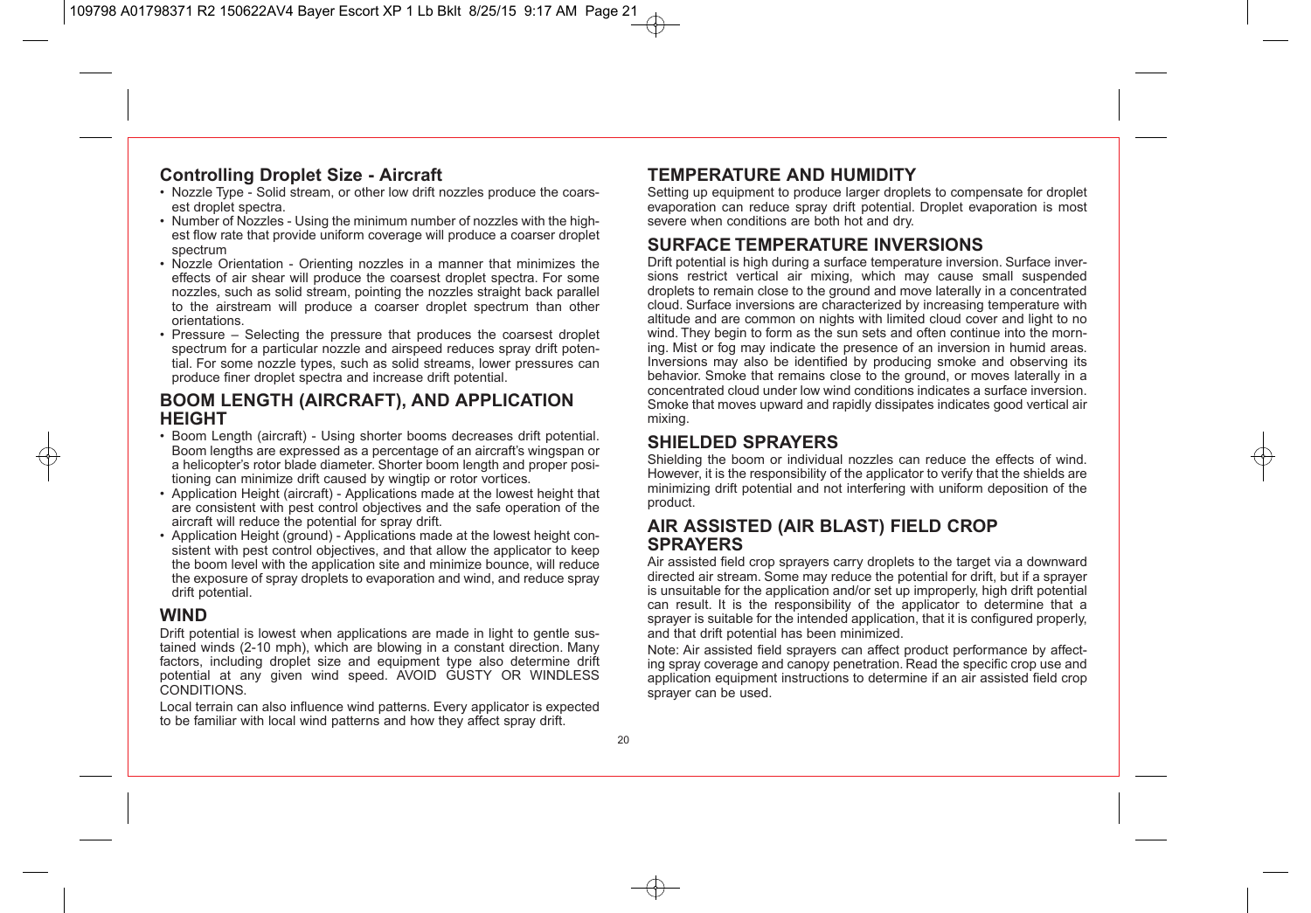### **Controlling Droplet Size - Aircraft**

- Nozzle Type Solid stream, or other low drift nozzles produce the coarsest droplet spectra.
- Number of Nozzles Using the minimum number of nozzles with the highest flow rate that provide uniform coverage will produce a coarser droplet spectrum
- Nozzle Orientation Orienting nozzles in a manner that minimizes the effects of air shear will produce the coarsest droplet spectra. For some nozzles, such as solid stream, pointing the nozzles straight back parallel to the airstream will produce a coarser droplet spectrum than other orientations.
- Pressure Selecting the pressure that produces the coarsest droplet spectrum for a particular nozzle and airspeed reduces spray drift potential. For some nozzle types, such as solid streams, lower pressures can produce finer droplet spectra and increase drift potential.

### **BOOM LENGTH (AIRCRAFT), AND APPLICATION HEIGHT**

- Boom Length (aircraft) Using shorter booms decreases drift potential. Boom lengths are expressed as a percentage of an aircraft's wingspan or a helicopter's rotor blade diameter. Shorter boom length and proper positioning can minimize drift caused by wingtip or rotor vortices.
- Application Height (aircraft) Applications made at the lowest height that are consistent with pest control objectives and the safe operation of the aircraft will reduce the potential for spray drift.
- Application Height (ground) Applications made at the lowest height consistent with pest control objectives, and that allow the applicator to keep the boom level with the application site and minimize bounce, will reduce the exposure of spray droplets to evaporation and wind, and reduce spray drift potential.

### **WIND**

Drift potential is lowest when applications are made in light to gentle sustained winds (2-10 mph), which are blowing in a constant direction. Many factors, including droplet size and equipment type also determine drift potential at any given wind speed. AVOID GUSTY OR WINDLESS CONDITIONS.

Local terrain can also influence wind patterns. Every applicator is expected to be familiar with local wind patterns and how they affect spray drift.

### **TEMPERATURE AND HUMIDITY**

Setting up equipment to produce larger droplets to compensate for droplet evaporation can reduce spray drift potential. Droplet evaporation is most severe when conditions are both hot and dry.

### **SURFACE TEMPERATURE INVERSIONS**

Drift potential is high during a surface temperature inversion. Surface inversions restrict vertical air mixing, which may cause small suspended droplets to remain close to the ground and move laterally in a concentrated cloud. Surface inversions are characterized by increasing temperature with altitude and are common on nights with limited cloud cover and light to no wind. They begin to form as the sun sets and often continue into the morning. Mist or fog may indicate the presence of an inversion in humid areas. Inversions may also be identified by producing smoke and observing its behavior. Smoke that remains close to the ground, or moves laterally in a concentrated cloud under low wind conditions indicates a surface inversion. Smoke that moves upward and rapidly dissipates indicates good vertical air mixing.

### **SHIELDED SPRAYERS**

Shielding the boom or individual nozzles can reduce the effects of wind. However, it is the responsibility of the applicator to verify that the shields are minimizing drift potential and not interfering with uniform deposition of the product.

### **AIR ASSISTED (AIR BLAST) FIELD CROP SPRAYERS**

Air assisted field crop sprayers carry droplets to the target via a downward directed air stream. Some may reduce the potential for drift, but if a sprayer is unsuitable for the application and/or set up improperly, high drift potential can result. It is the responsibility of the applicator to determine that a sprayer is suitable for the intended application, that it is configured properly, and that drift potential has been minimized.

Note: Air assisted field sprayers can affect product performance by affecting spray coverage and canopy penetration. Read the specific crop use and application equipment instructions to determine if an air assisted field crop sprayer can be used.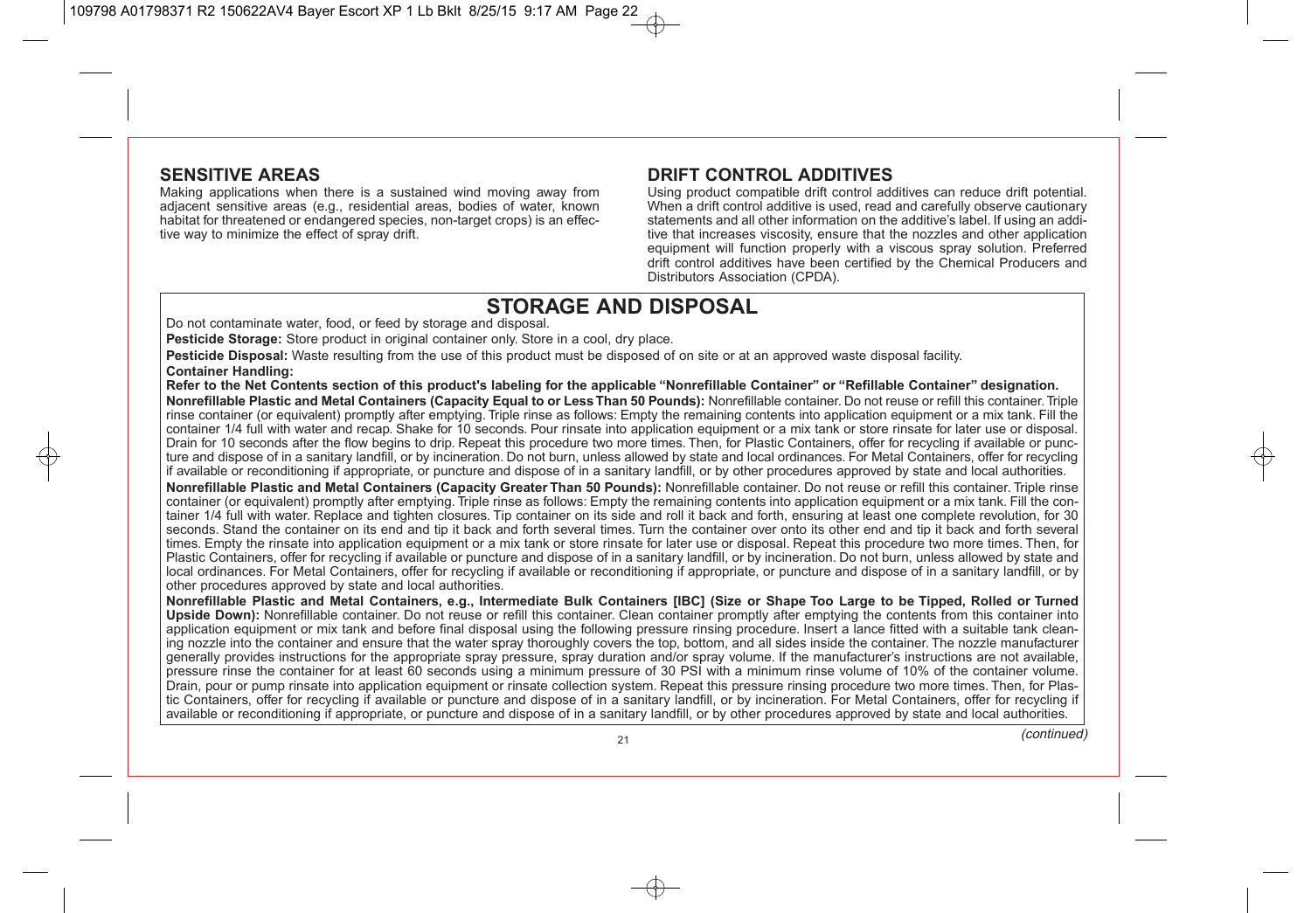### **SENSITIVE AREAS**

Making applications when there is a sustained wind moving away from adjacent sensitive areas (e.g., residential areas, bodies of water, known habitat for threatened or endangered species, non-target crops) is an effective way to minimize the effect of spray drift.

### **DRIFT CONTROL ADDITIVES**

Using product compatible drift control additives can reduce drift potential. When a drift control additive is used, read and carefully observe cautionary statements and all other information on the additive's label. If using an additive that increases viscosity, ensure that the nozzles and other application equipment will function properly with a viscous spray solution. Preferred drift control additives have been certified by the Chemical Producers and Distributors Association (CPDA).

## **STORAGE AND DISPOSAL**

Do not contaminate water, food, or feed by storage and disposal.

**Pesticide Storage:** Store product in original container only. Store in a cool, dry place.

**Pesticide Disposal:** Waste resulting from the use of this product must be disposed of on site or at an approved waste disposal facility. **Container Handling:**

**Refer to the Net Contents section of this product's labeling for the applicable "Nonrefillable Container" or "Refillable Container" designation. Nonrefillable Plastic and Metal Containers (Capacity Equal to or Less Than 50 Pounds):** Nonrefillable container. Do not reuse or refill this container. Triple rinse container (or equivalent) promptly after emptying. Triple rinse as follows: Empty the remaining contents into application equipment or a mix tank. Fill the container 1/4 full with water and recap. Shake for 10 seconds. Pour rinsate into application equipment or a mix tank or store rinsate for later use or disposal. Drain for 10 seconds after the flow begins to drip. Repeat this procedure two more times. Then, for Plastic Containers, offer for recycling if available or puncture and dispose of in a sanitary landfill, or by incineration. Do not burn, unless allowed by state and local ordinances. For Metal Containers, offer for recycling if available or reconditioning if appropriate, or puncture and dispose of in a sanitary landfill, or by other procedures approved by state and local authorities.

**Nonrefillable Plastic and Metal Containers (Capacity Greater Than 50 Pounds):** Nonrefillable container. Do not reuse or refill this container. Triple rinse container (or equivalent) promptly after emptying. Triple rinse as follows: Empty the remaining contents into application equipment or a mix tank. Fill the container 1/4 full with water. Replace and tighten closures. Tip container on its side and roll it back and forth, ensuring at least one complete revolution, for 30 seconds. Stand the container on its end and tip it back and forth several times. Turn the container over onto its other end and tip it back and forth several times. Empty the rinsate into application equipment or a mix tank or store rinsate for later use or disposal. Repeat this procedure two more times. Then, for Plastic Containers, offer for recycling if available or puncture and dispose of in a sanitary landfill, or by incineration. Do not burn, unless allowed by state and local ordinances. For Metal Containers, offer for recycling if available or reconditioning if appropriate, or puncture and dispose of in a sanitary landfill, or by other procedures approved by state and local authorities.

**Nonrefillable Plastic and Metal Containers, e.g., Intermediate Bulk Containers [IBC] (Size or Shape Too Large to be Tipped, Rolled or Turned Upside Down):** Nonrefillable container. Do not reuse or refill this container. Clean container promptly after emptying the contents from this container into application equipment or mix tank and before final disposal using the following pressure rinsing procedure. Insert a lance fitted with a suitable tank cleaning nozzle into the container and ensure that the water spray thoroughly covers the top, bottom, and all sides inside the container. The nozzle manufacturer generally provides instructions for the appropriate spray pressure, spray duration and/or spray volume. If the manufacturer's instructions are not available, pressure rinse the container for at least 60 seconds using a minimum pressure of 30 PSI with a minimum rinse volume of 10% of the container volume. Drain, pour or pump rinsate into application equipment or rinsate collection system. Repeat this pressure rinsing procedure two more times. Then, for Plastic Containers, offer for recycling if available or puncture and dispose of in a sanitary landfill, or by incineration. For Metal Containers, offer for recycling if available or reconditioning if appropriate, or puncture and dispose of in a sanitary landfill, or by other procedures approved by state and local authorities.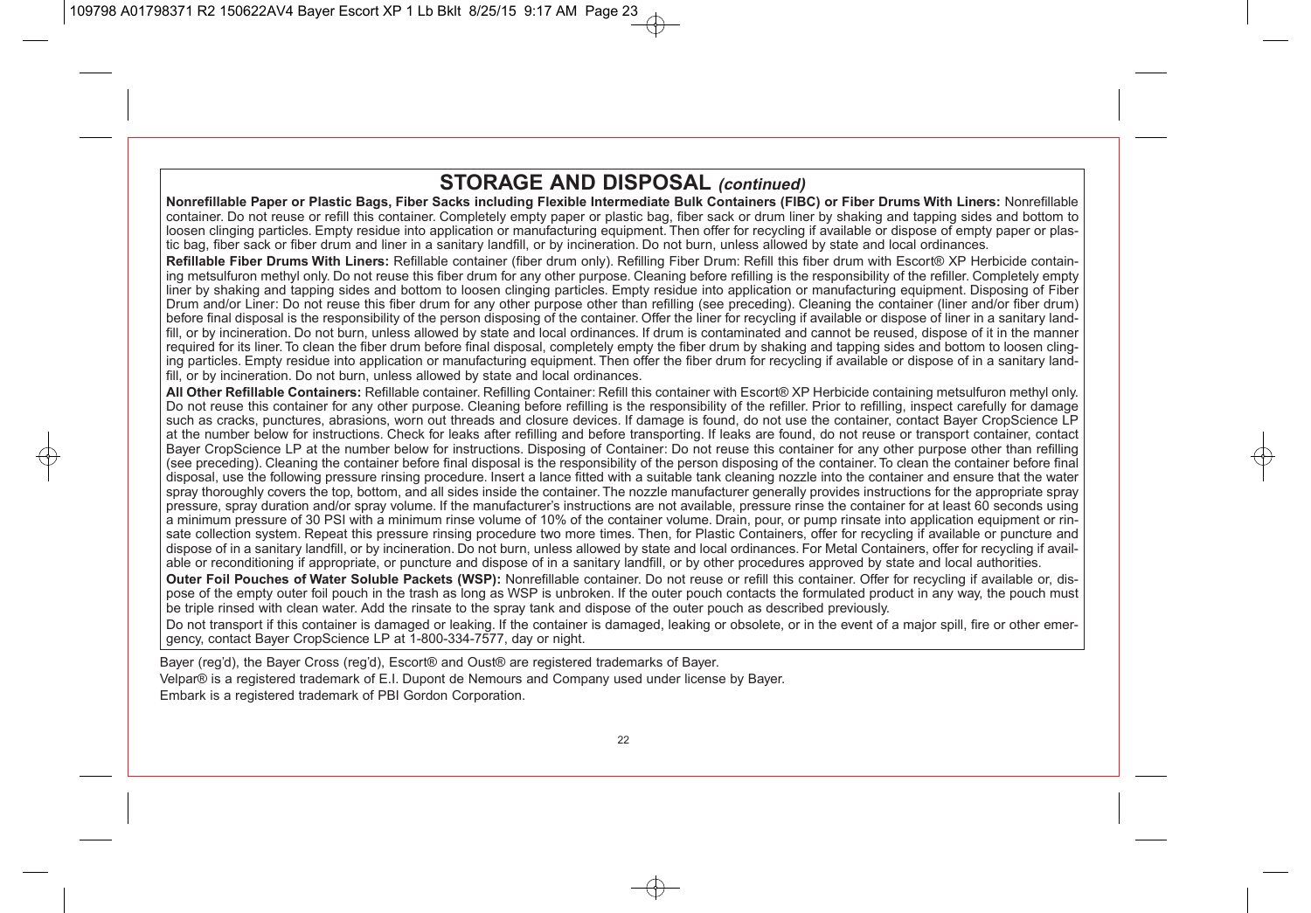## **STORAGE AND DISPOSAL (continued)**

**Nonrefillable Paper or Plastic Bags, Fiber Sacks including Flexible Intermediate Bulk Containers (FIBC) or Fiber Drums With Liners:** Nonrefillable container. Do not reuse or refill this container. Completely empty paper or plastic bag, fiber sack or drum liner by shaking and tapping sides and bottom to loosen clinging particles. Empty residue into application or manufacturing equipment. Then offer for recycling if available or dispose of empty paper or plastic bag, fiber sack or fiber drum and liner in a sanitary landfill, or by incineration. Do not burn, unless allowed by state and local ordinances.

**Refillable Fiber Drums With Liners:** Refillable container (fiber drum only). Refilling Fiber Drum: Refill this fiber drum with Escort® XP Herbicide containing metsulfuron methyl only. Do not reuse this fiber drum for any other purpose. Cleaning before refilling is the responsibility of the refiller. Completely empty liner by shaking and tapping sides and bottom to loosen clinging particles. Empty residue into application or manufacturing equipment. Disposing of Fiber Drum and/or Liner: Do not reuse this fiber drum for any other purpose other than refilling (see preceding). Cleaning the container (liner and/or fiber drum) before final disposal is the responsibility of the person disposing of the container. Offer the liner for recycling if available or dispose of liner in a sanitary landfill, or by incineration. Do not burn, unless allowed by state and local ordinances. If drum is contaminated and cannot be reused, dispose of it in the manner required for its liner. To clean the fiber drum before final disposal, completely empty the fiber drum by shaking and tapping sides and bottom to loosen clinging particles. Empty residue into application or manufacturing equipment. Then offer the fiber drum for recycling if available or dispose of in a sanitary landfill, or by incineration. Do not burn, unless allowed by state and local ordinances.

**All Other Refillable Containers:** Refillable container. Refilling Container: Refill this container with Escort® XP Herbicide containing metsulfuron methyl only. Do not reuse this container for any other purpose. Cleaning before refilling is the responsibility of the refiller. Prior to refilling, inspect carefully for damage such as cracks, punctures, abrasions, worn out threads and closure devices. If damage is found, do not use the container, contact Bayer CropScience LP at the number below for instructions. Check for leaks after refilling and before transporting. If leaks are found, do not reuse or transport container, contact Bayer CropScience LP at the number below for instructions. Disposing of Container: Do not reuse this container for any other purpose other than refilling (see preceding). Cleaning the container before final disposal is the responsibility of the person disposing of the container. To clean the container before final disposal, use the following pressure rinsing procedure. Insert a lance fitted with a suitable tank cleaning nozzle into the container and ensure that the water spray thoroughly covers the top, bottom, and all sides inside the container. The nozzle manufacturer generally provides instructions for the appropriate spray pressure, spray duration and/or spray volume. If the manufacturer's instructions are not available, pressure rinse the container for at least 60 seconds using a minimum pressure of 30 PSI with a minimum rinse volume of 10% of the container volume. Drain, pour, or pump rinsate into application equipment or rinsate collection system. Repeat this pressure rinsing procedure two more times. Then, for Plastic Containers, offer for recycling if available or puncture and dispose of in a sanitary landfill, or by incineration. Do not burn, unless allowed by state and local ordinances. For Metal Containers, offer for recycling if available or reconditioning if appropriate, or puncture and dispose of in a sanitary landfill, or by other procedures approved by state and local authorities.

**Outer Foil Pouches of Water Soluble Packets (WSP):** Nonrefillable container. Do not reuse or refill this container. Offer for recycling if available or, dispose of the empty outer foil pouch in the trash as long as WSP is unbroken. If the outer pouch contacts the formulated product in any way, the pouch must be triple rinsed with clean water. Add the rinsate to the spray tank and dispose of the outer pouch as described previously.

Do not transport if this container is damaged or leaking. If the container is damaged, leaking or obsolete, or in the event of a major spill, fire or other emergency, contact Bayer CropScience LP at 1-800-334-7577, day or night.

Bayer (reg'd), the Bayer Cross (reg'd), Escort® and Oust® are registered trademarks of Bayer.

Velpar® is a registered trademark of E.I. Dupont de Nemours and Company used under license by Bayer.

Embark is a registered trademark of PBI Gordon Corporation.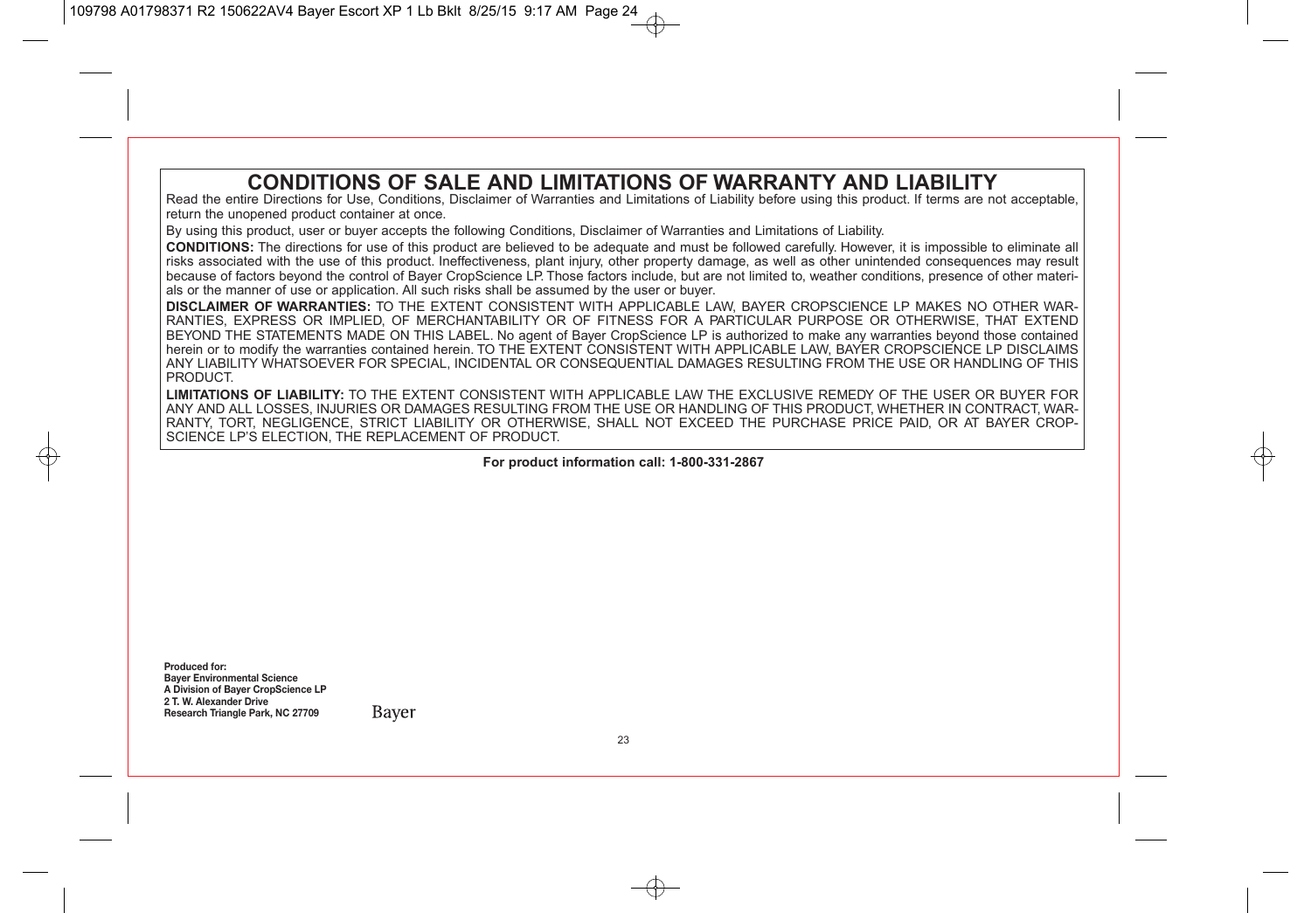## **CONDITIONS OF SALE AND LIMITATIONS OF WARRANTY AND LIABILITY**

Read the entire Directions for Use, Conditions, Disclaimer of Warranties and Limitations of Liability before using this product. If terms are not acceptable, return the unopened product container at once.

By using this product, user or buyer accepts the following Conditions, Disclaimer of Warranties and Limitations of Liability.

**CONDITIONS:** The directions for use of this product are believed to be adequate and must be followed carefully. However, it is impossible to eliminate all risks associated with the use of this product. Ineffectiveness, plant injury, other property damage, as well as other unintended consequences may result because of factors beyond the control of Bayer CropScience LP. Those factors include, but are not limited to, weather conditions, presence of other materials or the manner of use or application. All such risks shall be assumed by the user or buyer.

**DISCLAIMER OF WARRANTIES:** TO THE EXTENT CONSISTENT WITH APPLICABLE LAW, BAYER CROPSCIENCE LP MAKES NO OTHER WAR-RANTIES, EXPRESS OR IMPLIED, OF MERCHANTABILITY OR OF FITNESS FOR A PARTICULAR PURPOSE OR OTHERWISE, THAT EXTEND BEYOND THE STATEMENTS MADE ON THIS LABEL. No agent of Bayer CropScience LP is authorized to make any warranties beyond those contained herein or to modify the warranties contained herein. TO THE EXTENT CONSISTENT WITH APPLICABLE LAW, BAYER CROPSCIENCE LP DISCLAIMS ANY LIABILITY WHATSOEVER FOR SPECIAL, INCIDENTAL OR CONSEQUENTIAL DAMAGES RESULTING FROM THE USE OR HANDLING OF THIS PRODUCT.

**LIMITATIONS OF LIABILITY:** TO THE EXTENT CONSISTENT WITH APPLICABLE LAW THE EXCLUSIVE REMEDY OF THE USER OR BUYER FOR ANY AND ALL LOSSES, INJURIES OR DAMAGES RESULTING FROM THE USE OR HANDLING OF THIS PRODUCT, WHETHER IN CONTRACT, WAR-RANTY, TORT, NEGLIGENCE, STRICT LIABILITY OR OTHERWISE, SHALL NOT EXCEED THE PURCHASE PRICE PAID, OR AT BAYER CROP-SCIENCE LP'S ELECTION, THE REPLACEMENT OF PRODUCT.

**For product information call: 1-800-331-2867**

**Produced for: Bayer Environmental Science A Division of Bayer CropScience LP 2 T. W. Alexander Drive Research Triangle Park, NC 27709**

Baver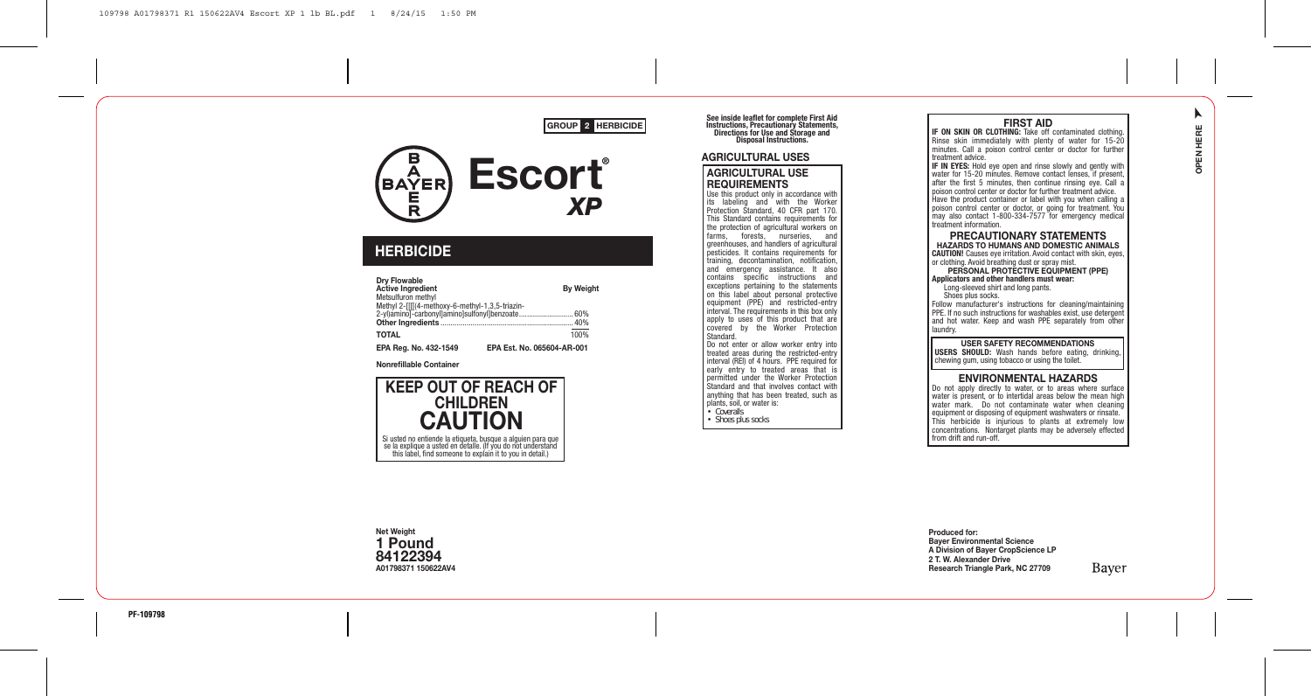#### GROUP 2 HERBICIDE



### **HERBICIDE**

| <b>Drv Flowable</b><br><b>Active Ingredient</b><br>Metsulfuron methyl | <b>By Weight</b>                                 |
|-----------------------------------------------------------------------|--------------------------------------------------|
| Methyl 2-[[[(4-methoxy-6-methyl-1,3,5-triazin-                        | 2-yl)amino]-carbonyl]amino]sulfonyl]benzoate 60% |
| TOTAL                                                                 | 100%                                             |
| EPA Rea. No. 432-1549                                                 | EPA Est. No. 065604-AR-001                       |

Nonrefillable Container



See inside leaflet for complete First Aid<br>Instructions, Precautionary Statements,<br>Directions for Use and Storage and<br>Disposal Instructions.

#### **AGRICULTURAL LISES**

#### AGRICULTURAL USE **REQUIREMENTS**

Use this product only in accordance with its labeling and with the Worker Protection Standard, 40 CFR part 170. This Standard contains requirements for the protection of agricultural workers on<br>farms forests nurseries and forests, nurseries, and greenhouses, and handlers of agricultural pesticides. It contains requirements for training, decontamination, notication, and emergency assistance. It also contains specific instructions and exceptions pertaining to the statements on this label about personal protective equipment (PPE) and restricted-entry interval. The requirements in this box only apply to uses of this product that are covered by the Worker Protection Standard.

Do not enter or allow worker entry into treated areas during the restricted-entry interval (REI) of 4 hours. PPE required for early entry to treated areas that is permitted under the Worker Protection Standard and that involves contact with anything that has been treated, such as plants, soil, or water is: • Coveralls

• Shoes plus socks

**FIRST AID**<br>IF ON SKIN OR CLOTHING: Take off contaminated clothing. Rinse skin immediately with plenty of water for 15-20 minutes. Call a poison control center or doctor for further treatment advice.

**IF IN EYES:** Hold eye open and rinse slowly and gently with water for 15-20 minutes. Remove contact lenses, if present, after the first 5 minutes, then continue rinsing eye. Call a poison control center or doctor for further treatment advice. Have the product container or label with you when calling a poison control center or doctor, or going for treatment. You may also contact 1-800-334-7577 for emergency medical treatment information.

PRECAUTIONARY STATEMENTS HAZARDS TO HUMANS AND DOMESTIC ANIMALS CAUTION! Causes eye irritation. Avoid contact with skin, eyes,

or clothing. Avoid breathing dust or spray mist. PERSONAL PROTECTIVE EQUIPMENT (PPE)

Applicators and other handlers must wear:

 Long-sleeved shirt and long pants. Shoes plus socks.

Follow manufacturer's instructions for cleaning/maintaining PPE. If no such instructions for washables exist, use detergent and hot water. Keep and wash PPE separately from other laundry.

USER SAFETY RECOMMENDATIONS

USERS SHOULD: Wash hands before eating, drinking, chewing gum, using tobacco or using the toilet.

#### ENVIRONMENTAL HAZARDS

Do not apply directly to water, or to areas where surface water is present, or to intertidal areas below the mean high water mark. Do not contaminate water when cleaning equipment or disposing of equipment washwaters or rinsate. This herbicide is injurious to plants at extremely low concentrations. Nontarget plants may be adversely effected from drift and run-off.

Net Weight 1 Pound 84122394 A01798371 150622AV4

Produced for: Bayer Environmental Science

A Division of Bayer CropScience LP 2 T. W. Alexander Drive Research Triangle Park, NC 27709

Bayer